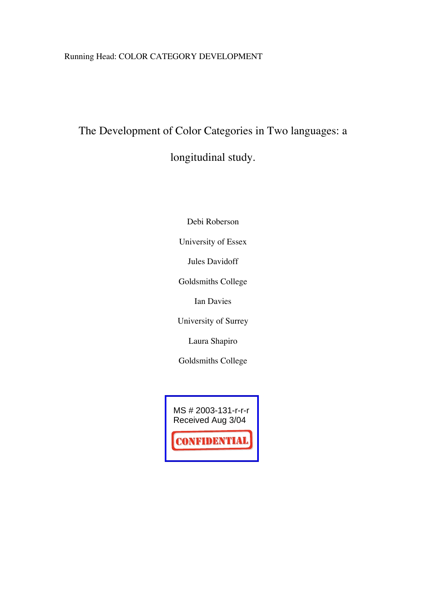## Running Head: COLOR CATEGORY DEVELOPMENT

# The Development of Color Categories in Two languages: a

longitudinal study.

Debi Roberson

University of Essex

Jules Davidoff

Goldsmiths College

Ian Davies

University of Surrey

Laura Shapiro

Goldsmiths College

MS # 2003-131-r-r-r Received Aug 3/04

**CONFIDENTIAL**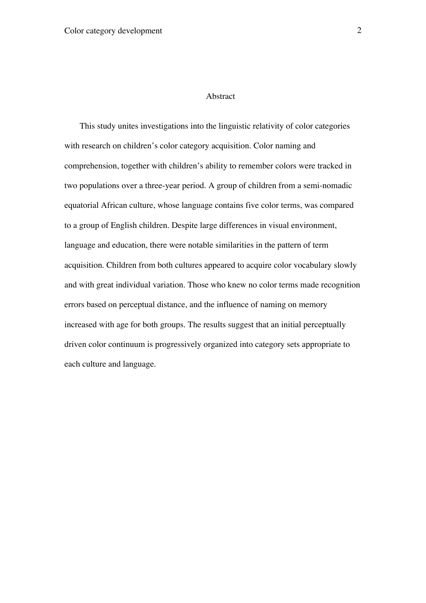#### Abstract

This study unites investigations into the linguistic relativity of color categories with research on children's color category acquisition. Color naming and comprehension, together with children's ability to remember colors were tracked in two populations over a three-year period. A group of children from a semi-nomadic equatorial African culture, whose language contains five color terms, was compared to a group of English children. Despite large differences in visual environment, language and education, there were notable similarities in the pattern of term acquisition. Children from both cultures appeared to acquire color vocabulary slowly and with great individual variation. Those who knew no color terms made recognition errors based on perceptual distance, and the influence of naming on memory increased with age for both groups. The results suggest that an initial perceptually driven color continuum is progressively organized into category sets appropriate to each culture and language.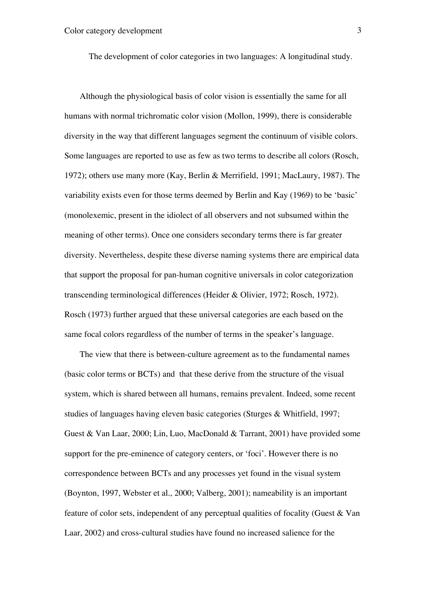The development of color categories in two languages: A longitudinal study.

Although the physiological basis of color vision is essentially the same for all humans with normal trichromatic color vision (Mollon, 1999), there is considerable diversity in the way that different languages segment the continuum of visible colors. Some languages are reported to use as few as two terms to describe all colors (Rosch, 1972); others use many more (Kay, Berlin & Merrifield, 1991; MacLaury, 1987). The variability exists even for those terms deemed by Berlin and Kay (1969) to be 'basic' (monolexemic, present in the idiolect of all observers and not subsumed within the meaning of other terms). Once one considers secondary terms there is far greater diversity. Nevertheless, despite these diverse naming systems there are empirical data that support the proposal for pan-human cognitive universals in color categorization transcending terminological differences (Heider & Olivier, 1972; Rosch, 1972). Rosch (1973) further argued that these universal categories are each based on the same focal colors regardless of the number of terms in the speaker's language.

The view that there is between-culture agreement as to the fundamental names (basic color terms or BCTs) and that these derive from the structure of the visual system, which is shared between all humans, remains prevalent. Indeed, some recent studies of languages having eleven basic categories (Sturges & Whitfield, 1997; Guest & Van Laar, 2000; Lin, Luo, MacDonald & Tarrant, 2001) have provided some support for the pre-eminence of category centers, or 'foci'. However there is no correspondence between BCTs and any processes yet found in the visual system (Boynton, 1997, Webster et al., 2000; Valberg, 2001); nameability is an important feature of color sets, independent of any perceptual qualities of focality (Guest & Van Laar, 2002) and cross-cultural studies have found no increased salience for the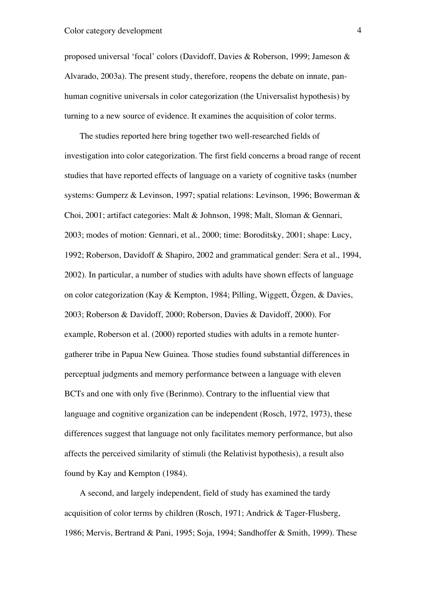proposed universal 'focal' colors (Davidoff, Davies & Roberson, 1999; Jameson & Alvarado, 2003a). The present study, therefore, reopens the debate on innate, panhuman cognitive universals in color categorization (the Universalist hypothesis) by turning to a new source of evidence. It examines the acquisition of color terms.

The studies reported here bring together two well-researched fields of investigation into color categorization. The first field concerns a broad range of recent studies that have reported effects of language on a variety of cognitive tasks (number systems: Gumperz & Levinson, 1997; spatial relations: Levinson, 1996; Bowerman & Choi, 2001; artifact categories: Malt & Johnson, 1998; Malt, Sloman & Gennari, 2003; modes of motion: Gennari, et al., 2000; time: Boroditsky, 2001; shape: Lucy, 1992; Roberson, Davidoff & Shapiro, 2002 and grammatical gender: Sera et al., 1994, 2002). In particular, a number of studies with adults have shown effects of language on color categorization (Kay & Kempton, 1984; Pilling, Wiggett, Özgen, & Davies, 2003; Roberson & Davidoff, 2000; Roberson, Davies & Davidoff, 2000). For example, Roberson et al. (2000) reported studies with adults in a remote huntergatherer tribe in Papua New Guinea. Those studies found substantial differences in perceptual judgments and memory performance between a language with eleven BCTs and one with only five (Berinmo). Contrary to the influential view that language and cognitive organization can be independent (Rosch, 1972, 1973), these differences suggest that language not only facilitates memory performance, but also affects the perceived similarity of stimuli (the Relativist hypothesis), a result also found by Kay and Kempton (1984).

A second, and largely independent, field of study has examined the tardy acquisition of color terms by children (Rosch, 1971; Andrick & Tager-Flusberg, 1986; Mervis, Bertrand & Pani, 1995; Soja, 1994; Sandhoffer & Smith, 1999). These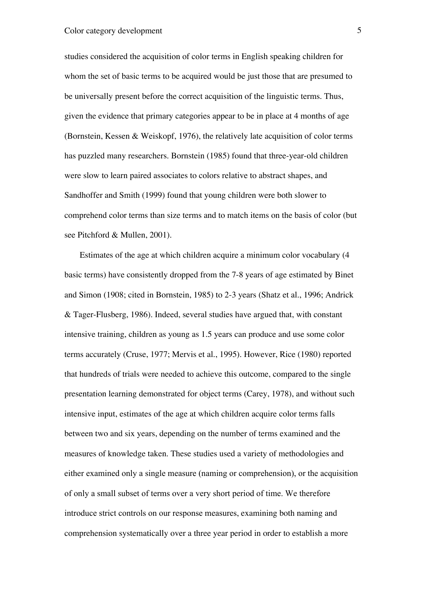studies considered the acquisition of color terms in English speaking children for whom the set of basic terms to be acquired would be just those that are presumed to be universally present before the correct acquisition of the linguistic terms. Thus, given the evidence that primary categories appear to be in place at 4 months of age (Bornstein, Kessen & Weiskopf, 1976), the relatively late acquisition of color terms has puzzled many researchers. Bornstein (1985) found that three-year-old children were slow to learn paired associates to colors relative to abstract shapes, and Sandhoffer and Smith (1999) found that young children were both slower to comprehend color terms than size terms and to match items on the basis of color (but see Pitchford & Mullen, 2001).

Estimates of the age at which children acquire a minimum color vocabulary (4 basic terms) have consistently dropped from the 7-8 years of age estimated by Binet and Simon (1908; cited in Bornstein, 1985) to 2-3 years (Shatz et al., 1996; Andrick & Tager-Flusberg, 1986). Indeed, several studies have argued that, with constant intensive training, children as young as 1.5 years can produce and use some color terms accurately (Cruse, 1977; Mervis et al., 1995). However, Rice (1980) reported that hundreds of trials were needed to achieve this outcome, compared to the single presentation learning demonstrated for object terms (Carey, 1978), and without such intensive input, estimates of the age at which children acquire color terms falls between two and six years, depending on the number of terms examined and the measures of knowledge taken. These studies used a variety of methodologies and either examined only a single measure (naming or comprehension), or the acquisition of only a small subset of terms over a very short period of time. We therefore introduce strict controls on our response measures, examining both naming and comprehension systematically over a three year period in order to establish a more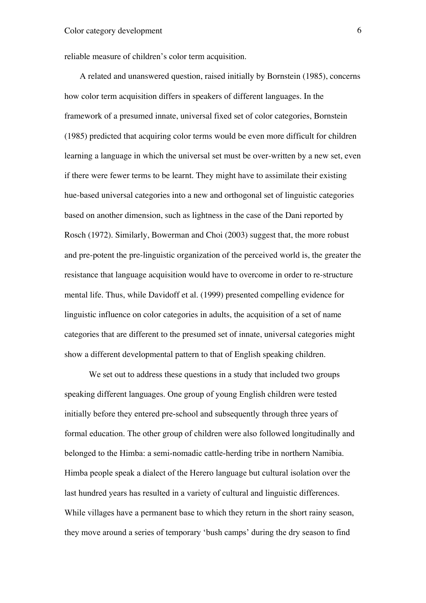reliable measure of children's color term acquisition.

A related and unanswered question, raised initially by Bornstein (1985), concerns how color term acquisition differs in speakers of different languages. In the framework of a presumed innate, universal fixed set of color categories, Bornstein (1985) predicted that acquiring color terms would be even more difficult for children learning a language in which the universal set must be over-written by a new set, even if there were fewer terms to be learnt. They might have to assimilate their existing hue-based universal categories into a new and orthogonal set of linguistic categories based on another dimension, such as lightness in the case of the Dani reported by Rosch (1972). Similarly, Bowerman and Choi (2003) suggest that, the more robust and pre-potent the pre-linguistic organization of the perceived world is, the greater the resistance that language acquisition would have to overcome in order to re-structure mental life. Thus, while Davidoff et al. (1999) presented compelling evidence for linguistic influence on color categories in adults, the acquisition of a set of name categories that are different to the presumed set of innate, universal categories might show a different developmental pattern to that of English speaking children.

We set out to address these questions in a study that included two groups speaking different languages. One group of young English children were tested initially before they entered pre-school and subsequently through three years of formal education. The other group of children were also followed longitudinally and belonged to the Himba: a semi-nomadic cattle-herding tribe in northern Namibia. Himba people speak a dialect of the Herero language but cultural isolation over the last hundred years has resulted in a variety of cultural and linguistic differences. While villages have a permanent base to which they return in the short rainy season, they move around a series of temporary 'bush camps' during the dry season to find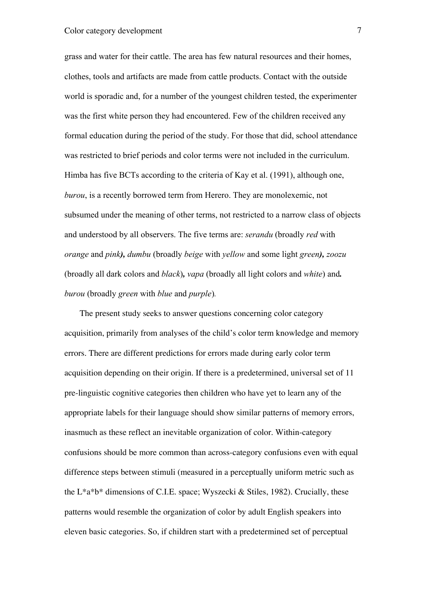grass and water for their cattle. The area has few natural resources and their homes, clothes, tools and artifacts are made from cattle products. Contact with the outside world is sporadic and, for a number of the youngest children tested, the experimenter was the first white person they had encountered. Few of the children received any formal education during the period of the study. For those that did, school attendance was restricted to brief periods and color terms were not included in the curriculum. Himba has five BCTs according to the criteria of Kay et al. (1991), although one, *burou*, is a recently borrowed term from Herero. They are monolexemic, not subsumed under the meaning of other terms, not restricted to a narrow class of objects and understood by all observers. The five terms are: *serandu* (broadly *red* with *orange* and *pink), dumbu* (broadly *beige* with *yellow* and some light *green), zoozu* (broadly all dark colors and *black*)*, vapa* (broadly all light colors and *white*) and*. burou* (broadly *green* with *blue* and *purple*)*.*

The present study seeks to answer questions concerning color category acquisition, primarily from analyses of the child's color term knowledge and memory errors. There are different predictions for errors made during early color term acquisition depending on their origin. If there is a predetermined, universal set of 11 pre-linguistic cognitive categories then children who have yet to learn any of the appropriate labels for their language should show similar patterns of memory errors, inasmuch as these reflect an inevitable organization of color. Within-category confusions should be more common than across-category confusions even with equal difference steps between stimuli (measured in a perceptually uniform metric such as the L<sup>\*a\*b\*</sup> dimensions of C.I.E. space; Wyszecki & Stiles, 1982). Crucially, these patterns would resemble the organization of color by adult English speakers into eleven basic categories. So, if children start with a predetermined set of perceptual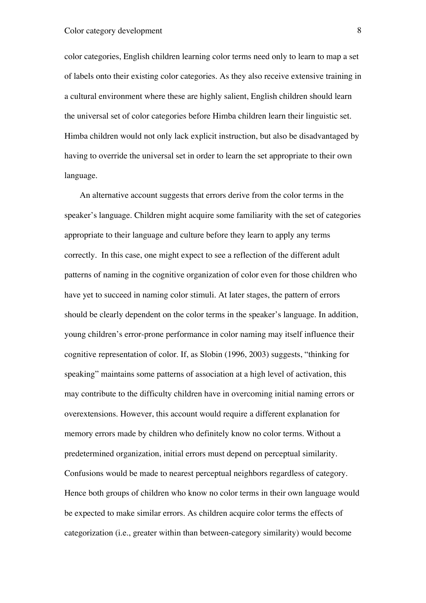color categories, English children learning color terms need only to learn to map a set of labels onto their existing color categories. As they also receive extensive training in a cultural environment where these are highly salient, English children should learn the universal set of color categories before Himba children learn their linguistic set. Himba children would not only lack explicit instruction, but also be disadvantaged by having to override the universal set in order to learn the set appropriate to their own language.

An alternative account suggests that errors derive from the color terms in the speaker's language. Children might acquire some familiarity with the set of categories appropriate to their language and culture before they learn to apply any terms correctly. In this case, one might expect to see a reflection of the different adult patterns of naming in the cognitive organization of color even for those children who have yet to succeed in naming color stimuli. At later stages, the pattern of errors should be clearly dependent on the color terms in the speaker's language. In addition, young children's error-prone performance in color naming may itself influence their cognitive representation of color. If, as Slobin (1996, 2003) suggests, "thinking for speaking" maintains some patterns of association at a high level of activation, this may contribute to the difficulty children have in overcoming initial naming errors or overextensions. However, this account would require a different explanation for memory errors made by children who definitely know no color terms. Without a predetermined organization, initial errors must depend on perceptual similarity. Confusions would be made to nearest perceptual neighbors regardless of category. Hence both groups of children who know no color terms in their own language would be expected to make similar errors. As children acquire color terms the effects of categorization (i.e., greater within than between-category similarity) would become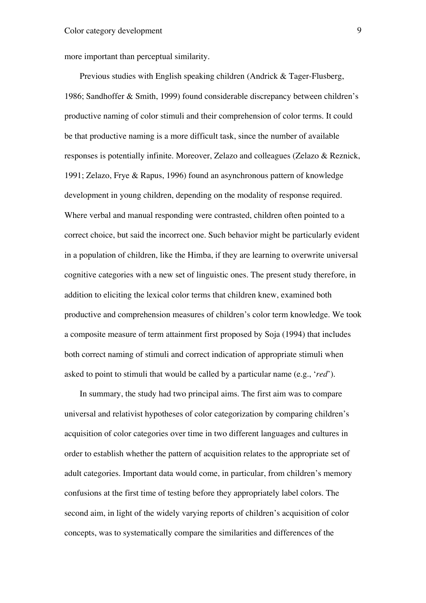more important than perceptual similarity.

Previous studies with English speaking children (Andrick & Tager-Flusberg, 1986; Sandhoffer & Smith, 1999) found considerable discrepancy between children's productive naming of color stimuli and their comprehension of color terms. It could be that productive naming is a more difficult task, since the number of available responses is potentially infinite. Moreover, Zelazo and colleagues (Zelazo & Reznick, 1991; Zelazo, Frye & Rapus, 1996) found an asynchronous pattern of knowledge development in young children, depending on the modality of response required. Where verbal and manual responding were contrasted, children often pointed to a correct choice, but said the incorrect one. Such behavior might be particularly evident in a population of children, like the Himba, if they are learning to overwrite universal cognitive categories with a new set of linguistic ones. The present study therefore, in addition to eliciting the lexical color terms that children knew, examined both productive and comprehension measures of children's color term knowledge. We took a composite measure of term attainment first proposed by Soja (1994) that includes both correct naming of stimuli and correct indication of appropriate stimuli when asked to point to stimuli that would be called by a particular name (e.g., '*red*').

In summary, the study had two principal aims. The first aim was to compare universal and relativist hypotheses of color categorization by comparing children's acquisition of color categories over time in two different languages and cultures in order to establish whether the pattern of acquisition relates to the appropriate set of adult categories. Important data would come, in particular, from children's memory confusions at the first time of testing before they appropriately label colors. The second aim, in light of the widely varying reports of children's acquisition of color concepts, was to systematically compare the similarities and differences of the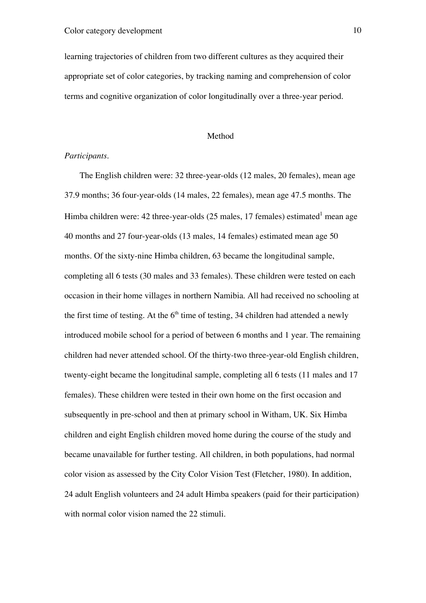learning trajectories of children from two different cultures as they acquired their appropriate set of color categories, by tracking naming and comprehension of color terms and cognitive organization of color longitudinally over a three-year period.

#### Method

#### *Participants.*

The English children were: 32 three-year-olds (12 males, 20 females), mean age 37.9 months; 36 four-year-olds (14 males, 22 females), mean age 47.5 months. The Himba children were: 42 three-year-olds (25 males, 17 females) estimated<sup>1</sup> mean age 40 months and 27 four-year-olds (13 males, 14 females) estimated mean age 50 months. Of the sixty-nine Himba children, 63 became the longitudinal sample, completing all 6 tests (30 males and 33 females). These children were tested on each occasion in their home villages in northern Namibia. All had received no schooling at the first time of testing. At the  $6<sup>th</sup>$  time of testing, 34 children had attended a newly introduced mobile school for a period of between 6 months and 1 year. The remaining children had never attended school. Of the thirty-two three-year-old English children, twenty-eight became the longitudinal sample, completing all 6 tests (11 males and 17 females). These children were tested in their own home on the first occasion and subsequently in pre-school and then at primary school in Witham, UK. Six Himba children and eight English children moved home during the course of the study and became unavailable for further testing. All children, in both populations, had normal color vision as assessed by the City Color Vision Test (Fletcher, 1980). In addition, 24 adult English volunteers and 24 adult Himba speakers (paid for their participation) with normal color vision named the 22 stimuli.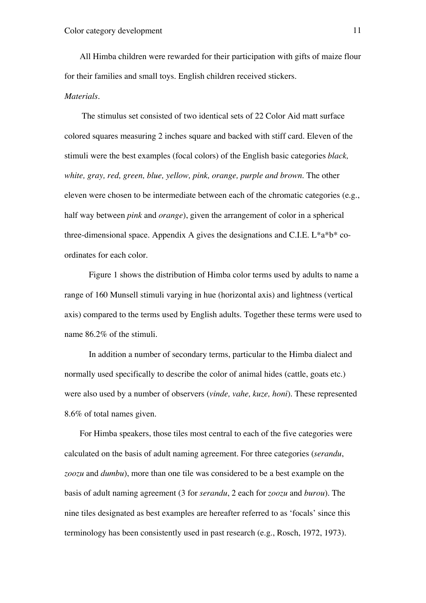All Himba children were rewarded for their participation with gifts of maize flour for their families and small toys. English children received stickers. *Materials.*

 The stimulus set consisted of two identical sets of 22 Color Aid matt surface colored squares measuring 2 inches square and backed with stiff card. Eleven of the stimuli were the best examples (focal colors) of the English basic categories *black, white, gray, red, green, blue, yellow, pink, orange, purple and brown*. The other eleven were chosen to be intermediate between each of the chromatic categories (e.g., half way between *pink* and *orange*), given the arrangement of color in a spherical three-dimensional space. Appendix A gives the designations and C.I.E. L\*a\*b\* coordinates for each color.

Figure 1 shows the distribution of Himba color terms used by adults to name a range of 160 Munsell stimuli varying in hue (horizontal axis) and lightness (vertical axis) compared to the terms used by English adults. Together these terms were used to name 86.2% of the stimuli.

In addition a number of secondary terms, particular to the Himba dialect and normally used specifically to describe the color of animal hides (cattle, goats etc.) were also used by a number of observers (*vinde, vahe, kuze, honi*). These represented 8.6% of total names given.

For Himba speakers, those tiles most central to each of the five categories were calculated on the basis of adult naming agreement. For three categories (*serandu*, *zoozu* and *dumbu*), more than one tile was considered to be a best example on the basis of adult naming agreement (3 for *serandu*, 2 each for *zoozu* and *burou*). The nine tiles designated as best examples are hereafter referred to as 'focals' since this terminology has been consistently used in past research (e.g., Rosch, 1972, 1973).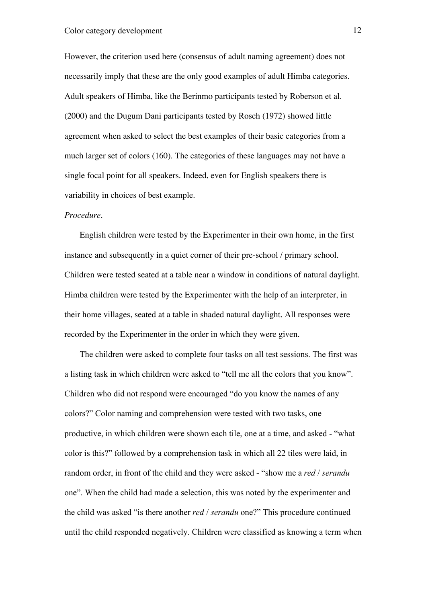However, the criterion used here (consensus of adult naming agreement) does not necessarily imply that these are the only good examples of adult Himba categories. Adult speakers of Himba, like the Berinmo participants tested by Roberson et al. (2000) and the Dugum Dani participants tested by Rosch (1972) showed little agreement when asked to select the best examples of their basic categories from a much larger set of colors (160). The categories of these languages may not have a single focal point for all speakers. Indeed, even for English speakers there is variability in choices of best example.

#### *Procedure.*

English children were tested by the Experimenter in their own home, in the first instance and subsequently in a quiet corner of their pre-school / primary school. Children were tested seated at a table near a window in conditions of natural daylight. Himba children were tested by the Experimenter with the help of an interpreter, in their home villages, seated at a table in shaded natural daylight. All responses were recorded by the Experimenter in the order in which they were given.

The children were asked to complete four tasks on all test sessions. The first was a listing task in which children were asked to "tell me all the colors that you know". Children who did not respond were encouraged "do you know the names of any colors?" Color naming and comprehension were tested with two tasks, one productive, in which children were shown each tile, one at a time, and asked - "what color is this?" followed by a comprehension task in which all 22 tiles were laid, in random order, in front of the child and they were asked - "show me a *red* / *serandu* one". When the child had made a selection, this was noted by the experimenter and the child was asked "is there another *red* / *serandu* one?" This procedure continued until the child responded negatively. Children were classified as knowing a term when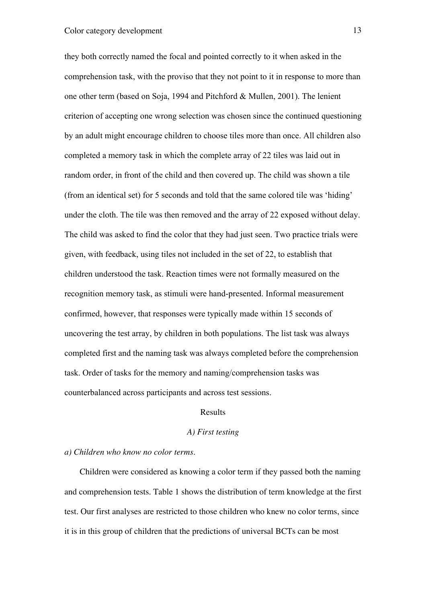they both correctly named the focal and pointed correctly to it when asked in the comprehension task, with the proviso that they not point to it in response to more than one other term (based on Soja, 1994 and Pitchford & Mullen, 2001). The lenient criterion of accepting one wrong selection was chosen since the continued questioning by an adult might encourage children to choose tiles more than once. All children also completed a memory task in which the complete array of 22 tiles was laid out in random order, in front of the child and then covered up. The child was shown a tile (from an identical set) for 5 seconds and told that the same colored tile was 'hiding' under the cloth. The tile was then removed and the array of 22 exposed without delay. The child was asked to find the color that they had just seen. Two practice trials were given, with feedback, using tiles not included in the set of 22, to establish that children understood the task. Reaction times were not formally measured on the recognition memory task, as stimuli were hand-presented. Informal measurement confirmed, however, that responses were typically made within 15 seconds of uncovering the test array, by children in both populations. The list task was always completed first and the naming task was always completed before the comprehension task. Order of tasks for the memory and naming/comprehension tasks was counterbalanced across participants and across test sessions.

#### Results

#### *A) First testing*

#### *a) Children who know no color terms.*

Children were considered as knowing a color term if they passed both the naming and comprehension tests. Table 1 shows the distribution of term knowledge at the first test. Our first analyses are restricted to those children who knew no color terms, since it is in this group of children that the predictions of universal BCTs can be most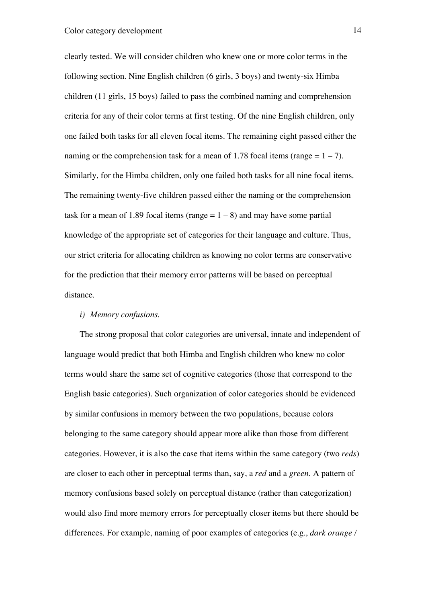clearly tested. We will consider children who knew one or more color terms in the following section. Nine English children (6 girls, 3 boys) and twenty-six Himba children (11 girls, 15 boys) failed to pass the combined naming and comprehension criteria for any of their color terms at first testing. Of the nine English children, only one failed both tasks for all eleven focal items. The remaining eight passed either the naming or the comprehension task for a mean of 1.78 focal items (range  $= 1 - 7$ ). Similarly, for the Himba children, only one failed both tasks for all nine focal items. The remaining twenty-five children passed either the naming or the comprehension task for a mean of 1.89 focal items (range  $= 1 - 8$ ) and may have some partial knowledge of the appropriate set of categories for their language and culture. Thus, our strict criteria for allocating children as knowing no color terms are conservative for the prediction that their memory error patterns will be based on perceptual distance.

#### *i) Memory confusions*.

The strong proposal that color categories are universal, innate and independent of language would predict that both Himba and English children who knew no color terms would share the same set of cognitive categories (those that correspond to the English basic categories). Such organization of color categories should be evidenced by similar confusions in memory between the two populations, because colors belonging to the same category should appear more alike than those from different categories. However, it is also the case that items within the same category (two *reds*) are closer to each other in perceptual terms than, say, a *red* and a *green*. A pattern of memory confusions based solely on perceptual distance (rather than categorization) would also find more memory errors for perceptually closer items but there should be differences. For example, naming of poor examples of categories (e.g., *dark orange /*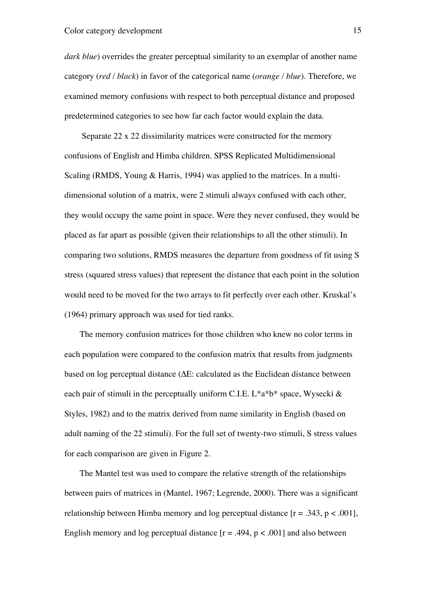*dark blue*) overrides the greater perceptual similarity to an exemplar of another name category (*red / black*) in favor of the categorical name (*orange / blue*). Therefore, we examined memory confusions with respect to both perceptual distance and proposed predetermined categories to see how far each factor would explain the data.

 Separate 22 x 22 dissimilarity matrices were constructed for the memory confusions of English and Himba children. SPSS Replicated Multidimensional Scaling (RMDS, Young & Harris, 1994) was applied to the matrices. In a multidimensional solution of a matrix, were 2 stimuli always confused with each other, they would occupy the same point in space. Were they never confused, they would be placed as far apart as possible (given their relationships to all the other stimuli). In comparing two solutions, RMDS measures the departure from goodness of fit using S stress (squared stress values) that represent the distance that each point in the solution would need to be moved for the two arrays to fit perfectly over each other. Kruskal's (1964) primary approach was used for tied ranks.

The memory confusion matrices for those children who knew no color terms in each population were compared to the confusion matrix that results from judgments based on log perceptual distance  $(\Delta E:$  calculated as the Euclidean distance between each pair of stimuli in the perceptually uniform C.I.E.  $L^*a^*b^*$  space, Wysecki  $\&$ Styles, 1982) and to the matrix derived from name similarity in English (based on adult naming of the 22 stimuli). For the full set of twenty-two stimuli, S stress values for each comparison are given in Figure 2.

The Mantel test was used to compare the relative strength of the relationships between pairs of matrices in (Mantel, 1967; Legrende, 2000). There was a significant relationship between Himba memory and log perceptual distance  $[r = .343, p < .001]$ , English memory and log perceptual distance  $[r = .494, p < .001]$  and also between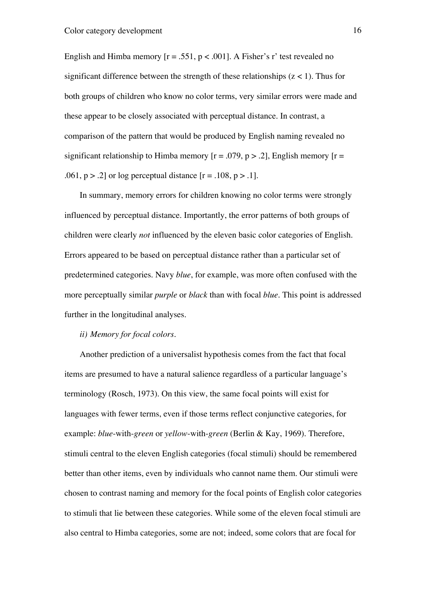English and Himba memory  $[r = .551, p < .001]$ . A Fisher's r' test revealed no significant difference between the strength of these relationships ( $z < 1$ ). Thus for both groups of children who know no color terms, very similar errors were made and these appear to be closely associated with perceptual distance. In contrast, a comparison of the pattern that would be produced by English naming revealed no significant relationship to Himba memory  $[r = .079, p > .2]$ , English memory  $[r = .079, p > .2]$ .061,  $p > 0.2$  or log perceptual distance  $[r = 0.108, p > 0.1]$ .

In summary, memory errors for children knowing no color terms were strongly influenced by perceptual distance. Importantly, the error patterns of both groups of children were clearly *not* influenced by the eleven basic color categories of English. Errors appeared to be based on perceptual distance rather than a particular set of predetermined categories. Navy *blue*, for example, was more often confused with the more perceptually similar *purple* or *black* than with focal *blue*. This point is addressed further in the longitudinal analyses.

## *ii) Memory for focal colors.*

Another prediction of a universalist hypothesis comes from the fact that focal items are presumed to have a natural salience regardless of a particular language's terminology (Rosch, 1973). On this view, the same focal points will exist for languages with fewer terms, even if those terms reflect conjunctive categories, for example: *blue*-with-*green* or *yellow*-with-*green* (Berlin & Kay, 1969). Therefore, stimuli central to the eleven English categories (focal stimuli) should be remembered better than other items, even by individuals who cannot name them. Our stimuli were chosen to contrast naming and memory for the focal points of English color categories to stimuli that lie between these categories. While some of the eleven focal stimuli are also central to Himba categories, some are not; indeed, some colors that are focal for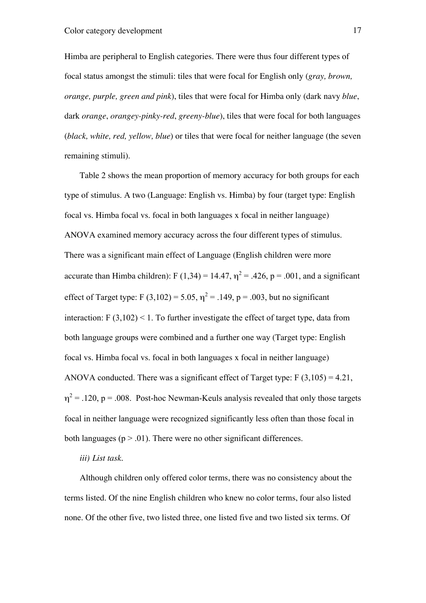Himba are peripheral to English categories. There were thus four different types of focal status amongst the stimuli: tiles that were focal for English only (*gray, brown, orange, purple, green and pink*), tiles that were focal for Himba only (dark navy *blue*, dark *orange*, *orangey-pinky-red*, *greeny-blue*), tiles that were focal for both languages (*black, white, red, yellow, blue*) or tiles that were focal for neither language (the seven remaining stimuli).

Table 2 shows the mean proportion of memory accuracy for both groups for each type of stimulus. A two (Language: English vs. Himba) by four (target type: English focal vs. Himba focal vs. focal in both languages x focal in neither language) ANOVA examined memory accuracy across the four different types of stimulus. There was a significant main effect of Language (English children were more accurate than Himba children): F (1,34) = 14.47,  $\eta^2$  = .426, p = .001, and a significant effect of Target type: F (3,102) = 5.05,  $\eta^2$  = .149, p = .003, but no significant interaction:  $F(3.102) \le 1$ . To further investigate the effect of target type, data from both language groups were combined and a further one way (Target type: English focal vs. Himba focal vs. focal in both languages x focal in neither language) ANOVA conducted. There was a significant effect of Target type:  $F(3,105) = 4.21$ ,  $\eta^2$  = .120, p = .008. Post-hoc Newman-Keuls analysis revealed that only those targets focal in neither language were recognized significantly less often than those focal in both languages ( $p > .01$ ). There were no other significant differences.

#### *iii) List task*.

Although children only offered color terms, there was no consistency about the terms listed. Of the nine English children who knew no color terms, four also listed none. Of the other five, two listed three, one listed five and two listed six terms. Of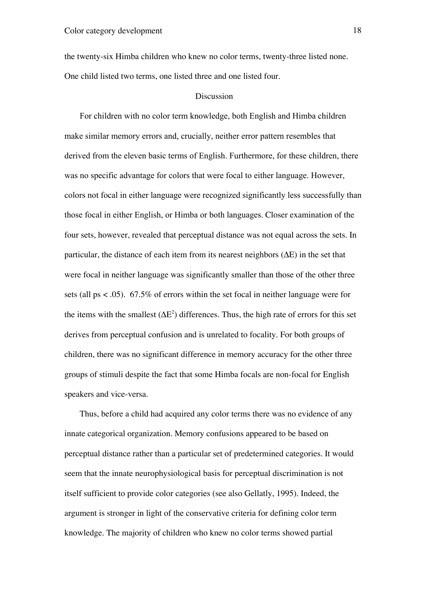the twenty-six Himba children who knew no color terms, twenty-three listed none. One child listed two terms, one listed three and one listed four.

#### **Discussion**

For children with no color term knowledge, both English and Himba children make similar memory errors and, crucially, neither error pattern resembles that derived from the eleven basic terms of English. Furthermore, for these children, there was no specific advantage for colors that were focal to either language. However, colors not focal in either language were recognized significantly less successfully than those focal in either English, or Himba or both languages. Closer examination of the four sets, however, revealed that perceptual distance was not equal across the sets. In particular, the distance of each item from its nearest neighbors  $(\Delta E)$  in the set that were focal in neither language was significantly smaller than those of the other three sets (all ps < .05). 67.5% of errors within the set focal in neither language were for the items with the smallest  $(\Delta E^2)$  differences. Thus, the high rate of errors for this set derives from perceptual confusion and is unrelated to focality. For both groups of children, there was no significant difference in memory accuracy for the other three groups of stimuli despite the fact that some Himba focals are non-focal for English speakers and vice-versa.

Thus, before a child had acquired any color terms there was no evidence of any innate categorical organization. Memory confusions appeared to be based on perceptual distance rather than a particular set of predetermined categories. It would seem that the innate neurophysiological basis for perceptual discrimination is not itself sufficient to provide color categories (see also Gellatly, 1995). Indeed, the argument is stronger in light of the conservative criteria for defining color term knowledge. The majority of children who knew no color terms showed partial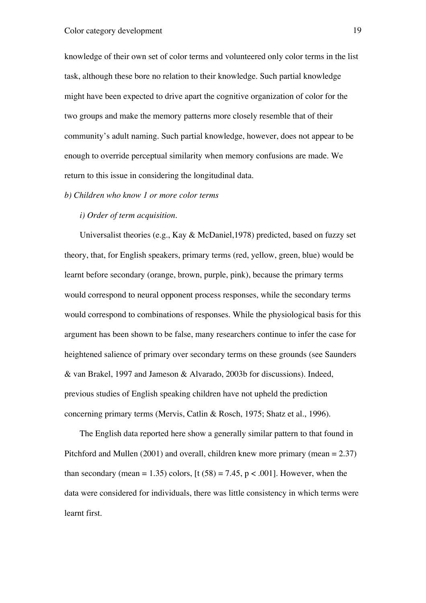knowledge of their own set of color terms and volunteered only color terms in the list task, although these bore no relation to their knowledge. Such partial knowledge might have been expected to drive apart the cognitive organization of color for the two groups and make the memory patterns more closely resemble that of their community's adult naming. Such partial knowledge, however, does not appear to be enough to override perceptual similarity when memory confusions are made. We return to this issue in considering the longitudinal data.

#### *b) Children who know 1 or more color terms*

#### *i) Order of term acquisition.*

Universalist theories (e.g., Kay & McDaniel,1978) predicted, based on fuzzy set theory, that, for English speakers, primary terms (red, yellow, green, blue) would be learnt before secondary (orange, brown, purple, pink), because the primary terms would correspond to neural opponent process responses, while the secondary terms would correspond to combinations of responses. While the physiological basis for this argument has been shown to be false, many researchers continue to infer the case for heightened salience of primary over secondary terms on these grounds (see Saunders & van Brakel, 1997 and Jameson & Alvarado, 2003b for discussions). Indeed, previous studies of English speaking children have not upheld the prediction concerning primary terms (Mervis, Catlin & Rosch, 1975; Shatz et al., 1996).

The English data reported here show a generally similar pattern to that found in Pitchford and Mullen (2001) and overall, children knew more primary (mean = 2.37) than secondary (mean = 1.35) colors,  $[t (58) = 7.45, p < .001]$ . However, when the data were considered for individuals, there was little consistency in which terms were learnt first.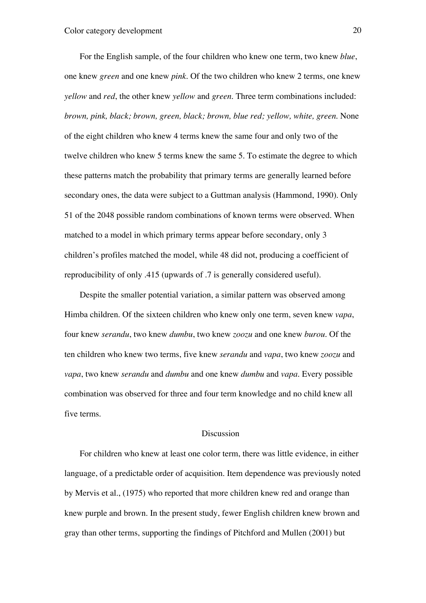For the English sample, of the four children who knew one term, two knew *blue*, one knew *green* and one knew *pink*. Of the two children who knew 2 terms, one knew *yellow* and *red*, the other knew *yellow* and *green*. Three term combinations included: *brown, pink, black; brown, green, black; brown, blue red; yellow, white, green*. None of the eight children who knew 4 terms knew the same four and only two of the twelve children who knew 5 terms knew the same 5. To estimate the degree to which these patterns match the probability that primary terms are generally learned before secondary ones, the data were subject to a Guttman analysis (Hammond, 1990). Only 51 of the 2048 possible random combinations of known terms were observed. When matched to a model in which primary terms appear before secondary, only 3 children's profiles matched the model, while 48 did not, producing a coefficient of reproducibility of only .415 (upwards of .7 is generally considered useful).

Despite the smaller potential variation, a similar pattern was observed among Himba children. Of the sixteen children who knew only one term, seven knew *vapa*, four knew *serandu*, two knew *dumbu*, two knew *zoozu* and one knew *burou*. Of the ten children who knew two terms, five knew *serandu* and *vapa*, two knew *zoozu* and *vapa*, two knew *serandu* and *dumbu* and one knew *dumbu* and *vapa*. Every possible combination was observed for three and four term knowledge and no child knew all five terms.

#### Discussion

For children who knew at least one color term, there was little evidence, in either language, of a predictable order of acquisition. Item dependence was previously noted by Mervis et al., (1975) who reported that more children knew red and orange than knew purple and brown. In the present study, fewer English children knew brown and gray than other terms, supporting the findings of Pitchford and Mullen (2001) but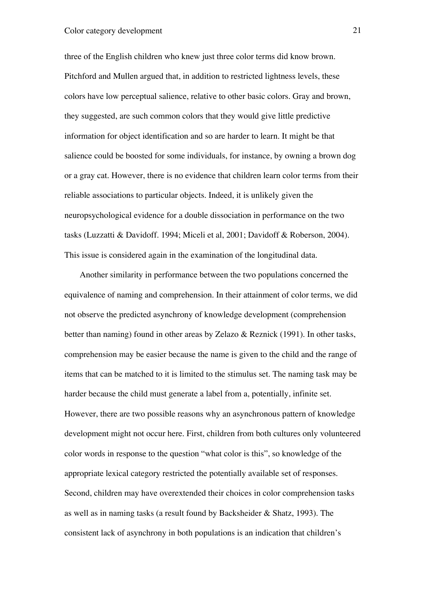three of the English children who knew just three color terms did know brown. Pitchford and Mullen argued that, in addition to restricted lightness levels, these colors have low perceptual salience, relative to other basic colors. Gray and brown, they suggested, are such common colors that they would give little predictive information for object identification and so are harder to learn. It might be that salience could be boosted for some individuals, for instance, by owning a brown dog or a gray cat. However, there is no evidence that children learn color terms from their reliable associations to particular objects. Indeed, it is unlikely given the neuropsychological evidence for a double dissociation in performance on the two tasks (Luzzatti & Davidoff. 1994; Miceli et al, 2001; Davidoff & Roberson, 2004). This issue is considered again in the examination of the longitudinal data.

Another similarity in performance between the two populations concerned the equivalence of naming and comprehension. In their attainment of color terms, we did not observe the predicted asynchrony of knowledge development (comprehension better than naming) found in other areas by Zelazo & Reznick (1991). In other tasks, comprehension may be easier because the name is given to the child and the range of items that can be matched to it is limited to the stimulus set. The naming task may be harder because the child must generate a label from a, potentially, infinite set. However, there are two possible reasons why an asynchronous pattern of knowledge development might not occur here. First, children from both cultures only volunteered color words in response to the question "what color is this", so knowledge of the appropriate lexical category restricted the potentially available set of responses. Second, children may have overextended their choices in color comprehension tasks as well as in naming tasks (a result found by Backsheider & Shatz, 1993). The consistent lack of asynchrony in both populations is an indication that children's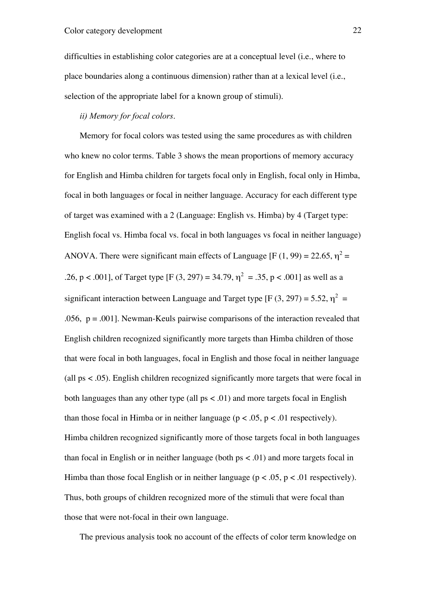difficulties in establishing color categories are at a conceptual level (i.e., where to place boundaries along a continuous dimension) rather than at a lexical level (i.e., selection of the appropriate label for a known group of stimuli).

### *ii) Memory for focal colors*.

Memory for focal colors was tested using the same procedures as with children who knew no color terms. Table 3 shows the mean proportions of memory accuracy for English and Himba children for targets focal only in English, focal only in Himba, focal in both languages or focal in neither language. Accuracy for each different type of target was examined with a 2 (Language: English vs. Himba) by 4 (Target type: English focal vs. Himba focal vs. focal in both languages vs focal in neither language) ANOVA. There were significant main effects of Language [F (1, 99) = 22.65,  $\eta^2$  = .26, p < .001], of Target type [F (3, 297) = 34.79,  $\eta^2 = .35$ , p < .001] as well as a significant interaction between Language and Target type [F (3, 297) = 5.52,  $\eta^2$  = .056,  $p = .001$ . Newman-Keuls pairwise comparisons of the interaction revealed that English children recognized significantly more targets than Himba children of those that were focal in both languages, focal in English and those focal in neither language (all ps < .05). English children recognized significantly more targets that were focal in both languages than any other type (all  $ps < .01$ ) and more targets focal in English than those focal in Himba or in neither language ( $p < .05$ ,  $p < .01$  respectively). Himba children recognized significantly more of those targets focal in both languages than focal in English or in neither language (both  $ps < .01$ ) and more targets focal in Himba than those focal English or in neither language ( $p < .05$ ,  $p < .01$  respectively). Thus, both groups of children recognized more of the stimuli that were focal than those that were not-focal in their own language.

The previous analysis took no account of the effects of color term knowledge on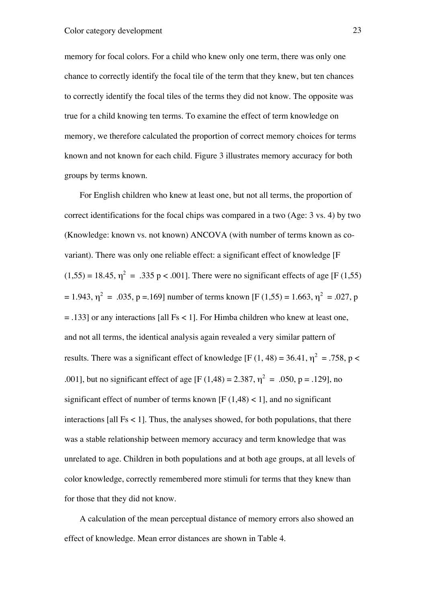memory for focal colors. For a child who knew only one term, there was only one chance to correctly identify the focal tile of the term that they knew, but ten chances to correctly identify the focal tiles of the terms they did not know. The opposite was true for a child knowing ten terms. To examine the effect of term knowledge on memory, we therefore calculated the proportion of correct memory choices for terms known and not known for each child. Figure 3 illustrates memory accuracy for both groups by terms known.

For English children who knew at least one, but not all terms, the proportion of correct identifications for the focal chips was compared in a two (Age: 3 vs. 4) by two (Knowledge: known vs. not known) ANCOVA (with number of terms known as covariant). There was only one reliable effect: a significant effect of knowledge [F  $(1,55) = 18.45$ ,  $\eta^2 = .335$  p < .001]. There were no significant effects of age [F (1,55)  $= 1.943$ ,  $\eta^2 = .035$ , p = 1.69] number of terms known [F (1,55) = 1.663,  $\eta^2 = .027$ , p  $=$  .133] or any interactions [all Fs < 1]. For Himba children who knew at least one, and not all terms, the identical analysis again revealed a very similar pattern of results. There was a significant effect of knowledge [F (1, 48) = 36.41,  $\eta^2 = .758$ , p < .001], but no significant effect of age [F (1,48) = 2.387,  $\eta^2 = .050$ , p = .129], no significant effect of number of terms known  $[F(1.48) < 1]$ , and no significant interactions [all  $Fs < 1$ ]. Thus, the analyses showed, for both populations, that there was a stable relationship between memory accuracy and term knowledge that was unrelated to age. Children in both populations and at both age groups, at all levels of color knowledge, correctly remembered more stimuli for terms that they knew than for those that they did not know.

A calculation of the mean perceptual distance of memory errors also showed an effect of knowledge. Mean error distances are shown in Table 4.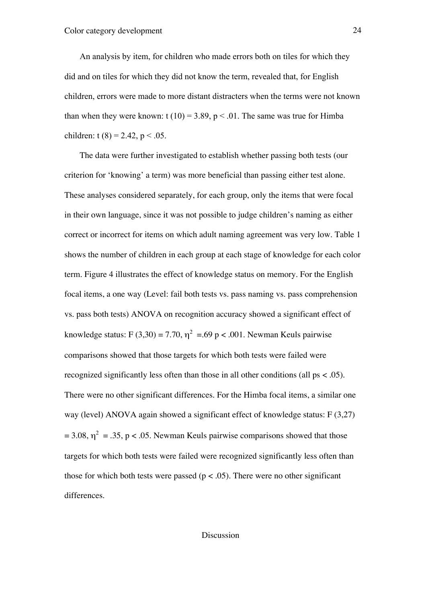An analysis by item, for children who made errors both on tiles for which they did and on tiles for which they did not know the term, revealed that, for English children, errors were made to more distant distracters when the terms were not known than when they were known:  $t(10) = 3.89$ ,  $p < .01$ . The same was true for Himba children: t (8) = 2.42, p < .05.

The data were further investigated to establish whether passing both tests (our criterion for 'knowing' a term) was more beneficial than passing either test alone. These analyses considered separately, for each group, only the items that were focal in their own language, since it was not possible to judge children's naming as either correct or incorrect for items on which adult naming agreement was very low. Table 1 shows the number of children in each group at each stage of knowledge for each color term. Figure 4 illustrates the effect of knowledge status on memory. For the English focal items, a one way (Level: fail both tests vs. pass naming vs. pass comprehension vs. pass both tests) ANOVA on recognition accuracy showed a significant effect of knowledge status: F (3,30) = 7.70,  $\eta^2$  =.69 p < .001. Newman Keuls pairwise comparisons showed that those targets for which both tests were failed were recognized significantly less often than those in all other conditions (all ps < .05). There were no other significant differences. For the Himba focal items, a similar one way (level) ANOVA again showed a significant effect of knowledge status: F (3,27)  $= 3.08$ ,  $\eta^2 = .35$ , p < .05. Newman Keuls pairwise comparisons showed that those targets for which both tests were failed were recognized significantly less often than those for which both tests were passed ( $p < .05$ ). There were no other significant differences.

#### Discussion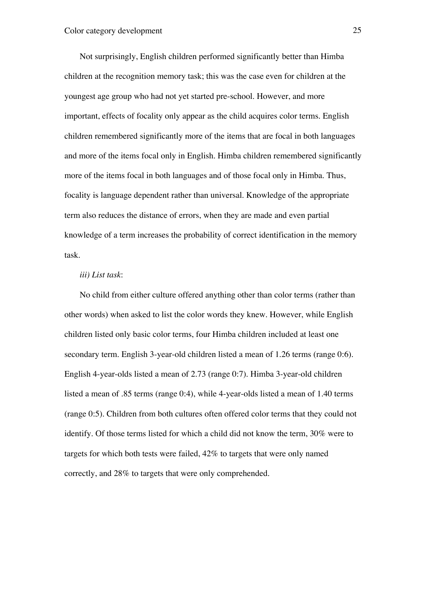Not surprisingly, English children performed significantly better than Himba children at the recognition memory task; this was the case even for children at the youngest age group who had not yet started pre-school. However, and more important, effects of focality only appear as the child acquires color terms. English children remembered significantly more of the items that are focal in both languages and more of the items focal only in English. Himba children remembered significantly more of the items focal in both languages and of those focal only in Himba. Thus, focality is language dependent rather than universal. Knowledge of the appropriate term also reduces the distance of errors, when they are made and even partial knowledge of a term increases the probability of correct identification in the memory task.

#### *iii) List task*:

No child from either culture offered anything other than color terms (rather than other words) when asked to list the color words they knew. However, while English children listed only basic color terms, four Himba children included at least one secondary term. English 3-year-old children listed a mean of 1.26 terms (range 0:6). English 4-year-olds listed a mean of 2.73 (range 0:7). Himba 3-year-old children listed a mean of .85 terms (range 0:4), while 4-year-olds listed a mean of 1.40 terms (range 0:5). Children from both cultures often offered color terms that they could not identify. Of those terms listed for which a child did not know the term, 30% were to targets for which both tests were failed, 42% to targets that were only named correctly, and 28% to targets that were only comprehended.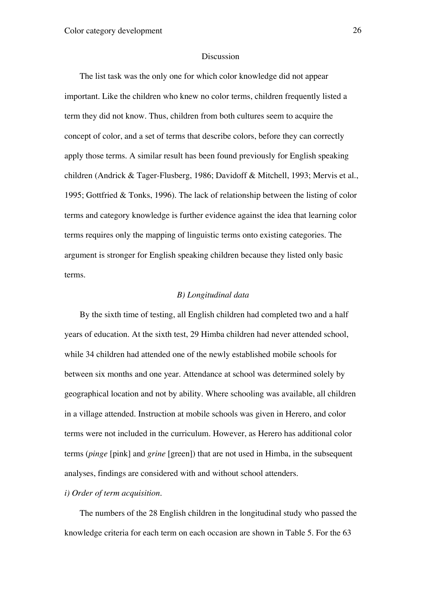#### Discussion

The list task was the only one for which color knowledge did not appear important. Like the children who knew no color terms, children frequently listed a term they did not know. Thus, children from both cultures seem to acquire the concept of color, and a set of terms that describe colors, before they can correctly apply those terms. A similar result has been found previously for English speaking children (Andrick & Tager-Flusberg, 1986; Davidoff & Mitchell, 1993; Mervis et al., 1995; Gottfried & Tonks, 1996). The lack of relationship between the listing of color terms and category knowledge is further evidence against the idea that learning color terms requires only the mapping of linguistic terms onto existing categories. The argument is stronger for English speaking children because they listed only basic terms.

#### *B) Longitudinal data*

By the sixth time of testing, all English children had completed two and a half years of education. At the sixth test, 29 Himba children had never attended school, while 34 children had attended one of the newly established mobile schools for between six months and one year. Attendance at school was determined solely by geographical location and not by ability. Where schooling was available, all children in a village attended. Instruction at mobile schools was given in Herero, and color terms were not included in the curriculum. However, as Herero has additional color terms (*pinge* [pink] and *grine* [green]) that are not used in Himba, in the subsequent analyses, findings are considered with and without school attenders.

#### *i) Order of term acquisition.*

The numbers of the 28 English children in the longitudinal study who passed the knowledge criteria for each term on each occasion are shown in Table 5. For the 63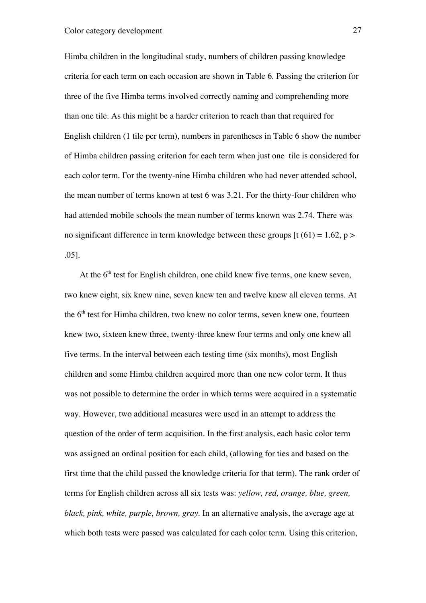Himba children in the longitudinal study, numbers of children passing knowledge criteria for each term on each occasion are shown in Table 6. Passing the criterion for three of the five Himba terms involved correctly naming and comprehending more than one tile. As this might be a harder criterion to reach than that required for English children (1 tile per term), numbers in parentheses in Table 6 show the number of Himba children passing criterion for each term when just one tile is considered for each color term. For the twenty-nine Himba children who had never attended school, the mean number of terms known at test 6 was 3.21. For the thirty-four children who had attended mobile schools the mean number of terms known was 2.74. There was no significant difference in term knowledge between these groups  $[t(61) = 1.62, p >$ .05].

At the  $6<sup>th</sup>$  test for English children, one child knew five terms, one knew seven, two knew eight, six knew nine, seven knew ten and twelve knew all eleven terms. At the 6<sup>th</sup> test for Himba children, two knew no color terms, seven knew one, fourteen knew two, sixteen knew three, twenty-three knew four terms and only one knew all five terms. In the interval between each testing time (six months), most English children and some Himba children acquired more than one new color term. It thus was not possible to determine the order in which terms were acquired in a systematic way. However, two additional measures were used in an attempt to address the question of the order of term acquisition. In the first analysis, each basic color term was assigned an ordinal position for each child, (allowing for ties and based on the first time that the child passed the knowledge criteria for that term). The rank order of terms for English children across all six tests was: *yellow, red, orange, blue, green, black, pink, white, purple, brown, gray.* In an alternative analysis, the average age at which both tests were passed was calculated for each color term. Using this criterion,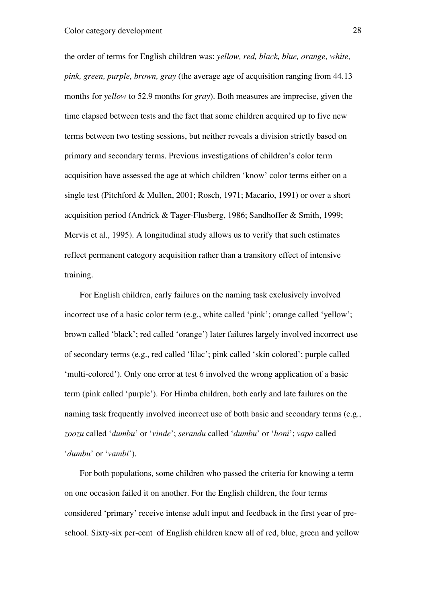the order of terms for English children was: *yellow, red, black, blue, orange, white, pink, green, purple, brown, gray* (the average age of acquisition ranging from 44.13 months for *yellow* to 52.9 months for *gray*). Both measures are imprecise, given the time elapsed between tests and the fact that some children acquired up to five new terms between two testing sessions, but neither reveals a division strictly based on primary and secondary terms. Previous investigations of children's color term acquisition have assessed the age at which children 'know' color terms either on a single test (Pitchford & Mullen, 2001; Rosch, 1971; Macario, 1991) or over a short acquisition period (Andrick & Tager-Flusberg, 1986; Sandhoffer & Smith, 1999; Mervis et al., 1995). A longitudinal study allows us to verify that such estimates reflect permanent category acquisition rather than a transitory effect of intensive training.

For English children, early failures on the naming task exclusively involved incorrect use of a basic color term (e.g., white called 'pink'; orange called 'yellow'; brown called 'black'; red called 'orange') later failures largely involved incorrect use of secondary terms (e.g., red called 'lilac'; pink called 'skin colored'; purple called 'multi-colored'). Only one error at test 6 involved the wrong application of a basic term (pink called 'purple'). For Himba children, both early and late failures on the naming task frequently involved incorrect use of both basic and secondary terms (e.g., *zoozu* called '*dumbu*' or '*vinde*'; *serandu* called '*dumbu*' or '*honi*'; *vapa* called '*dumbu*' or '*vambi*').

For both populations, some children who passed the criteria for knowing a term on one occasion failed it on another. For the English children, the four terms considered 'primary' receive intense adult input and feedback in the first year of preschool. Sixty-six per-cent of English children knew all of red, blue, green and yellow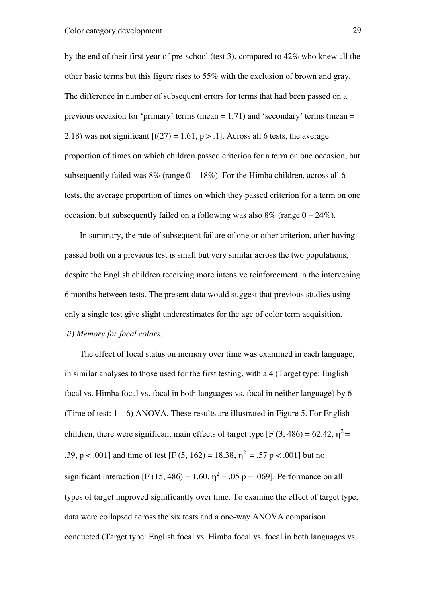by the end of their first year of pre-school (test 3), compared to 42% who knew all the other basic terms but this figure rises to 55% with the exclusion of brown and gray. The difference in number of subsequent errors for terms that had been passed on a previous occasion for 'primary' terms (mean  $= 1.71$ ) and 'secondary' terms (mean  $=$ 2.18) was not significant  $[t(27) = 1.61, p > .1]$ . Across all 6 tests, the average proportion of times on which children passed criterion for a term on one occasion, but subsequently failed was  $8\%$  (range  $0 - 18\%$ ). For the Himba children, across all 6 tests, the average proportion of times on which they passed criterion for a term on one occasion, but subsequently failed on a following was also  $8\%$  (range  $0 - 24\%$ ).

In summary, the rate of subsequent failure of one or other criterion, after having passed both on a previous test is small but very similar across the two populations, despite the English children receiving more intensive reinforcement in the intervening 6 months between tests. The present data would suggest that previous studies using only a single test give slight underestimates for the age of color term acquisition.  *ii) Memory for focal colors.*

The effect of focal status on memory over time was examined in each language, in similar analyses to those used for the first testing, with a 4 (Target type: English focal vs. Himba focal vs. focal in both languages vs. focal in neither language) by 6 (Time of test:  $1 - 6$ ) ANOVA. These results are illustrated in Figure 5. For English children, there were significant main effects of target type [F (3, 486) = 62.42,  $\eta^2$  = .39, p < .001] and time of test [F (5, 162) = 18.38,  $\eta^2 = .57$  p < .001] but no significant interaction [F (15, 486) = 1.60,  $\eta^2$  = .05 p = .069]. Performance on all types of target improved significantly over time. To examine the effect of target type, data were collapsed across the six tests and a one-way ANOVA comparison conducted (Target type: English focal vs. Himba focal vs. focal in both languages vs.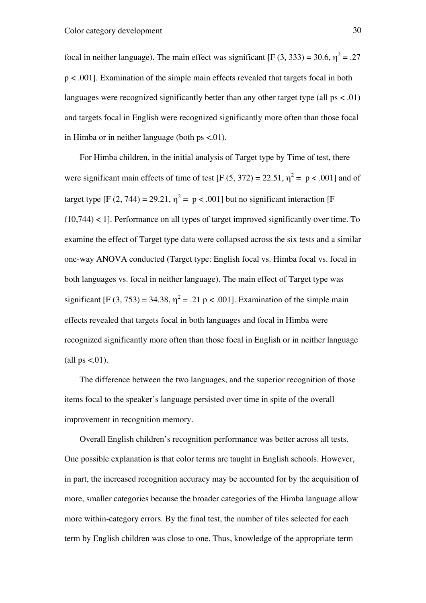focal in neither language). The main effect was significant [F (3, 333) = 30.6,  $\eta^2$  = .27 p < .001]. Examination of the simple main effects revealed that targets focal in both languages were recognized significantly better than any other target type (all  $ps < .01$ ) and targets focal in English were recognized significantly more often than those focal in Himba or in neither language (both  $ps < .01$ ).

For Himba children, in the initial analysis of Target type by Time of test, there were significant main effects of time of test [F  $(5, 372) = 22.51$ ,  $\eta^2 = p < .001$ ] and of target type [F (2, 744) = 29.21,  $\eta^2 = p < .001$ ] but no significant interaction [F (10,744) < 1]. Performance on all types of target improved significantly over time. To examine the effect of Target type data were collapsed across the six tests and a similar one-way ANOVA conducted (Target type: English focal vs. Himba focal vs. focal in both languages vs. focal in neither language). The main effect of Target type was significant [F (3, 753) = 34.38,  $\eta^2$  = .21 p < .001]. Examination of the simple main effects revealed that targets focal in both languages and focal in Himba were recognized significantly more often than those focal in English or in neither language (all  $ps < 0.01$ ).

The difference between the two languages, and the superior recognition of those items focal to the speaker's language persisted over time in spite of the overall improvement in recognition memory.

Overall English children's recognition performance was better across all tests. One possible explanation is that color terms are taught in English schools. However, in part, the increased recognition accuracy may be accounted for by the acquisition of more, smaller categories because the broader categories of the Himba language allow more within-category errors. By the final test, the number of tiles selected for each term by English children was close to one. Thus, knowledge of the appropriate term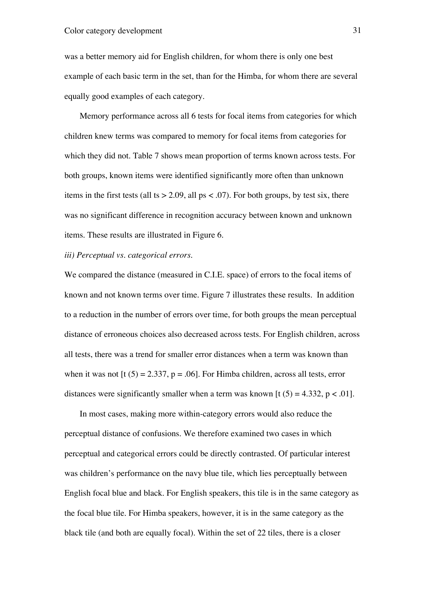was a better memory aid for English children, for whom there is only one best example of each basic term in the set, than for the Himba, for whom there are several equally good examples of each category.

Memory performance across all 6 tests for focal items from categories for which children knew terms was compared to memory for focal items from categories for which they did not. Table 7 shows mean proportion of terms known across tests. For both groups, known items were identified significantly more often than unknown items in the first tests (all ts  $> 2.09$ , all ps < .07). For both groups, by test six, there was no significant difference in recognition accuracy between known and unknown items. These results are illustrated in Figure 6.

#### *iii) Perceptual vs. categorical errors*.

We compared the distance (measured in C.I.E. space) of errors to the focal items of known and not known terms over time. Figure 7 illustrates these results. In addition to a reduction in the number of errors over time, for both groups the mean perceptual distance of erroneous choices also decreased across tests. For English children, across all tests, there was a trend for smaller error distances when a term was known than when it was not  $[t (5) = 2.337, p = .06]$ . For Himba children, across all tests, error distances were significantly smaller when a term was known [t  $(5) = 4.332$ ,  $p < .01$ ].

In most cases, making more within-category errors would also reduce the perceptual distance of confusions. We therefore examined two cases in which perceptual and categorical errors could be directly contrasted. Of particular interest was children's performance on the navy blue tile, which lies perceptually between English focal blue and black. For English speakers, this tile is in the same category as the focal blue tile. For Himba speakers, however, it is in the same category as the black tile (and both are equally focal). Within the set of 22 tiles, there is a closer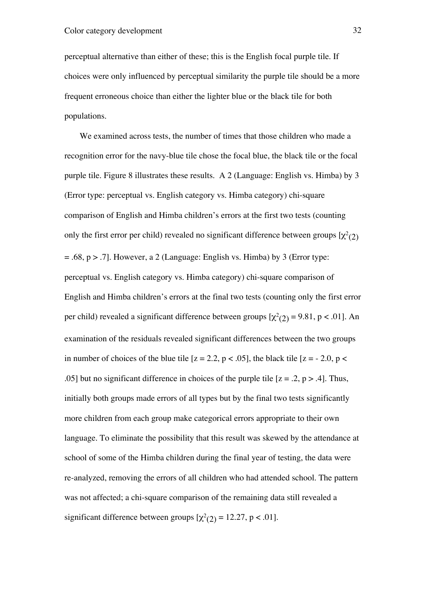perceptual alternative than either of these; this is the English focal purple tile. If choices were only influenced by perceptual similarity the purple tile should be a more frequent erroneous choice than either the lighter blue or the black tile for both populations.

We examined across tests, the number of times that those children who made a recognition error for the navy-blue tile chose the focal blue, the black tile or the focal purple tile. Figure 8 illustrates these results. A 2 (Language: English vs. Himba) by 3 (Error type: perceptual vs. English category vs. Himba category) chi-square comparison of English and Himba children's errors at the first two tests (counting only the first error per child) revealed no significant difference between groups  $[\chi^2_{(2)}]$  $= .68$ ,  $p > .7$ ]. However, a 2 (Language: English vs. Himba) by 3 (Error type: perceptual vs. English category vs. Himba category) chi-square comparison of English and Himba children's errors at the final two tests (counting only the first error per child) revealed a significant difference between groups  $[\chi^2_{(2)} = 9.81, p < .01]$ . An examination of the residuals revealed significant differences between the two groups in number of choices of the blue tile  $[z = 2.2, p < .05]$ , the black tile  $[z = -2.0, p <$ .05] but no significant difference in choices of the purple tile  $[z = .2, p > .4]$ . Thus, initially both groups made errors of all types but by the final two tests significantly more children from each group make categorical errors appropriate to their own language. To eliminate the possibility that this result was skewed by the attendance at school of some of the Himba children during the final year of testing, the data were re-analyzed, removing the errors of all children who had attended school. The pattern was not affected; a chi-square comparison of the remaining data still revealed a significant difference between groups  $[\chi^2(2)] = 12.27$ , p < .01].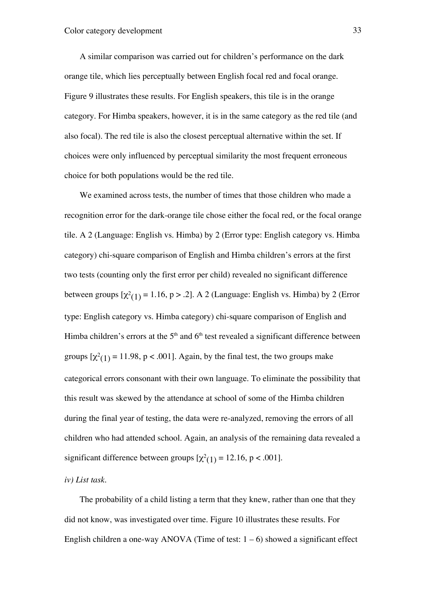A similar comparison was carried out for children's performance on the dark orange tile, which lies perceptually between English focal red and focal orange. Figure 9 illustrates these results. For English speakers, this tile is in the orange category. For Himba speakers, however, it is in the same category as the red tile (and also focal). The red tile is also the closest perceptual alternative within the set. If choices were only influenced by perceptual similarity the most frequent erroneous choice for both populations would be the red tile.

We examined across tests, the number of times that those children who made a recognition error for the dark-orange tile chose either the focal red, or the focal orange tile. A 2 (Language: English vs. Himba) by 2 (Error type: English category vs. Himba category) chi-square comparison of English and Himba children's errors at the first two tests (counting only the first error per child) revealed no significant difference between groups  $[\chi^2(1) = 1.16$ , p > .2]. A 2 (Language: English vs. Himba) by 2 (Error type: English category vs. Himba category) chi-square comparison of English and Himba children's errors at the  $5<sup>th</sup>$  and  $6<sup>th</sup>$  test revealed a significant difference between groups  $[\chi^2(1)] = 11.98$ , p < .001]. Again, by the final test, the two groups make categorical errors consonant with their own language. To eliminate the possibility that this result was skewed by the attendance at school of some of the Himba children during the final year of testing, the data were re-analyzed, removing the errors of all children who had attended school. Again, an analysis of the remaining data revealed a significant difference between groups  $[\chi^2(1)] = 12.16$ , p < .001].

#### *iv) List task*.

The probability of a child listing a term that they knew, rather than one that they did not know, was investigated over time. Figure 10 illustrates these results. For English children a one-way ANOVA (Time of test:  $1 - 6$ ) showed a significant effect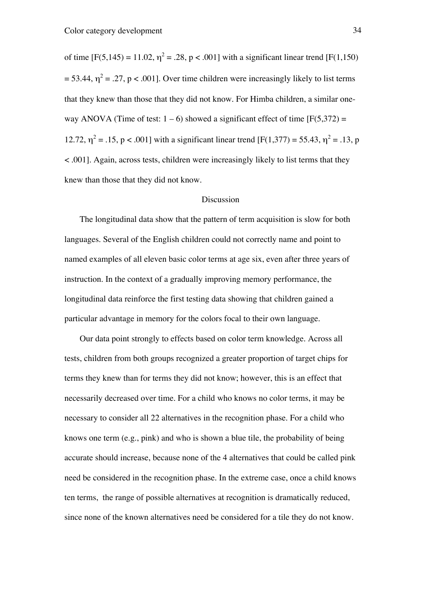of time [F(5,145) = 11.02,  $\eta^2$  = .28, p < .001] with a significant linear trend [F(1,150)  $=$  53.44,  $\eta^2$  = .27, p < .001]. Over time children were increasingly likely to list terms that they knew than those that they did not know. For Himba children, a similar oneway ANOVA (Time of test:  $1 - 6$ ) showed a significant effect of time [F(5,372) = 12.72,  $\eta^2 = .15$ , p < .001] with a significant linear trend [F(1,377) = 55.43,  $\eta^2 = .13$ , p < .001]. Again, across tests, children were increasingly likely to list terms that they knew than those that they did not know.

#### Discussion

The longitudinal data show that the pattern of term acquisition is slow for both languages. Several of the English children could not correctly name and point to named examples of all eleven basic color terms at age six, even after three years of instruction. In the context of a gradually improving memory performance, the longitudinal data reinforce the first testing data showing that children gained a particular advantage in memory for the colors focal to their own language.

Our data point strongly to effects based on color term knowledge. Across all tests, children from both groups recognized a greater proportion of target chips for terms they knew than for terms they did not know; however, this is an effect that necessarily decreased over time. For a child who knows no color terms, it may be necessary to consider all 22 alternatives in the recognition phase. For a child who knows one term (e.g., pink) and who is shown a blue tile, the probability of being accurate should increase, because none of the 4 alternatives that could be called pink need be considered in the recognition phase. In the extreme case, once a child knows ten terms, the range of possible alternatives at recognition is dramatically reduced, since none of the known alternatives need be considered for a tile they do not know.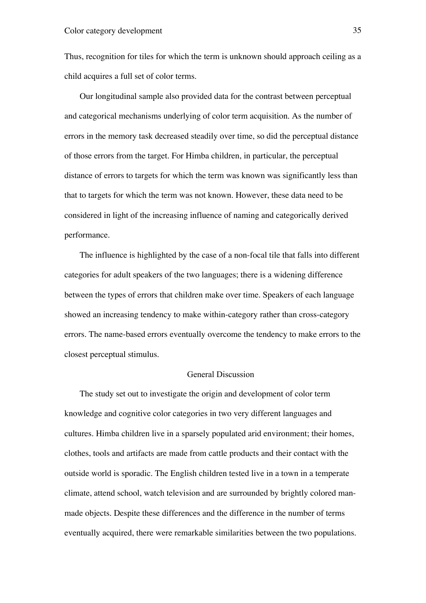Thus, recognition for tiles for which the term is unknown should approach ceiling as a child acquires a full set of color terms.

Our longitudinal sample also provided data for the contrast between perceptual and categorical mechanisms underlying of color term acquisition. As the number of errors in the memory task decreased steadily over time, so did the perceptual distance of those errors from the target. For Himba children, in particular, the perceptual distance of errors to targets for which the term was known was significantly less than that to targets for which the term was not known. However, these data need to be considered in light of the increasing influence of naming and categorically derived performance.

The influence is highlighted by the case of a non-focal tile that falls into different categories for adult speakers of the two languages; there is a widening difference between the types of errors that children make over time. Speakers of each language showed an increasing tendency to make within-category rather than cross-category errors. The name-based errors eventually overcome the tendency to make errors to the closest perceptual stimulus.

#### General Discussion

The study set out to investigate the origin and development of color term knowledge and cognitive color categories in two very different languages and cultures. Himba children live in a sparsely populated arid environment; their homes, clothes, tools and artifacts are made from cattle products and their contact with the outside world is sporadic. The English children tested live in a town in a temperate climate, attend school, watch television and are surrounded by brightly colored manmade objects. Despite these differences and the difference in the number of terms eventually acquired, there were remarkable similarities between the two populations.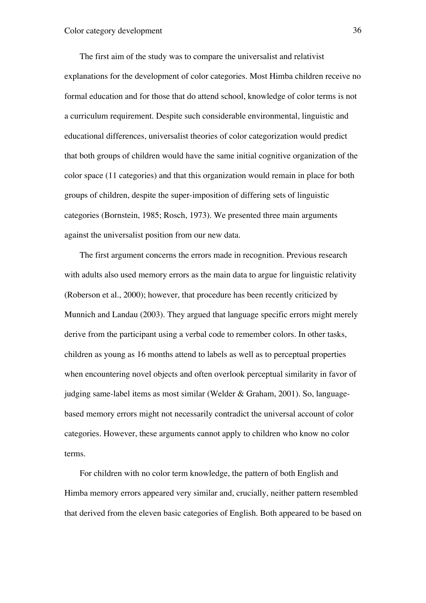The first aim of the study was to compare the universalist and relativist explanations for the development of color categories. Most Himba children receive no formal education and for those that do attend school, knowledge of color terms is not a curriculum requirement. Despite such considerable environmental, linguistic and educational differences, universalist theories of color categorization would predict that both groups of children would have the same initial cognitive organization of the color space (11 categories) and that this organization would remain in place for both groups of children, despite the super-imposition of differing sets of linguistic categories (Bornstein, 1985; Rosch, 1973). We presented three main arguments against the universalist position from our new data.

The first argument concerns the errors made in recognition. Previous research with adults also used memory errors as the main data to argue for linguistic relativity (Roberson et al., 2000); however, that procedure has been recently criticized by Munnich and Landau (2003). They argued that language specific errors might merely derive from the participant using a verbal code to remember colors. In other tasks, children as young as 16 months attend to labels as well as to perceptual properties when encountering novel objects and often overlook perceptual similarity in favor of judging same-label items as most similar (Welder & Graham, 2001). So, languagebased memory errors might not necessarily contradict the universal account of color categories. However, these arguments cannot apply to children who know no color terms.

For children with no color term knowledge, the pattern of both English and Himba memory errors appeared very similar and, crucially, neither pattern resembled that derived from the eleven basic categories of English. Both appeared to be based on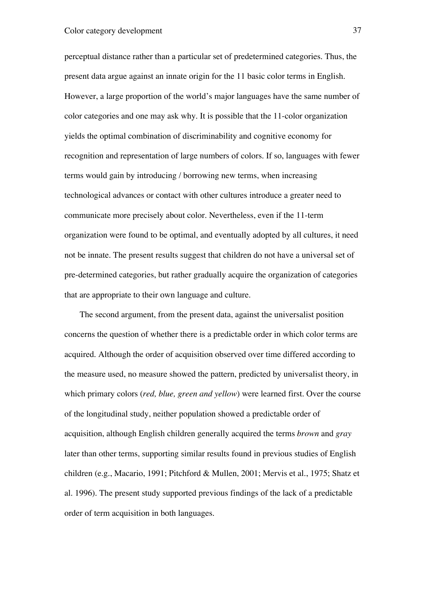perceptual distance rather than a particular set of predetermined categories. Thus, the present data argue against an innate origin for the 11 basic color terms in English. However, a large proportion of the world's major languages have the same number of color categories and one may ask why. It is possible that the 11-color organization yields the optimal combination of discriminability and cognitive economy for recognition and representation of large numbers of colors. If so, languages with fewer terms would gain by introducing / borrowing new terms, when increasing technological advances or contact with other cultures introduce a greater need to communicate more precisely about color. Nevertheless, even if the 11-term organization were found to be optimal, and eventually adopted by all cultures, it need not be innate. The present results suggest that children do not have a universal set of pre-determined categories, but rather gradually acquire the organization of categories that are appropriate to their own language and culture.

The second argument, from the present data, against the universalist position concerns the question of whether there is a predictable order in which color terms are acquired. Although the order of acquisition observed over time differed according to the measure used, no measure showed the pattern, predicted by universalist theory, in which primary colors (*red, blue, green and yellow*) were learned first. Over the course of the longitudinal study, neither population showed a predictable order of acquisition, although English children generally acquired the terms *brown* and *gray* later than other terms, supporting similar results found in previous studies of English children (e.g., Macario, 1991; Pitchford & Mullen, 2001; Mervis et al., 1975; Shatz et al. 1996). The present study supported previous findings of the lack of a predictable order of term acquisition in both languages.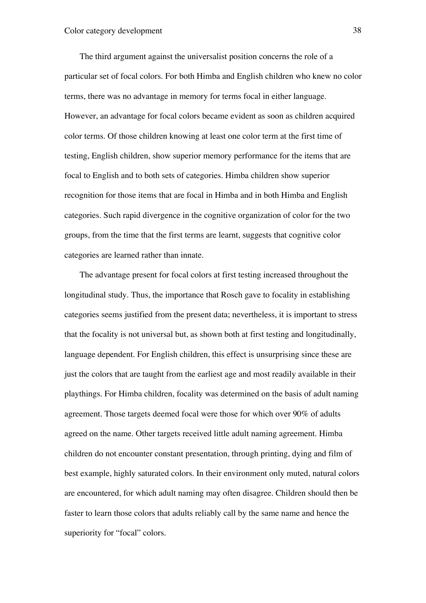The third argument against the universalist position concerns the role of a particular set of focal colors. For both Himba and English children who knew no color terms, there was no advantage in memory for terms focal in either language. However, an advantage for focal colors became evident as soon as children acquired color terms. Of those children knowing at least one color term at the first time of testing, English children, show superior memory performance for the items that are focal to English and to both sets of categories. Himba children show superior recognition for those items that are focal in Himba and in both Himba and English categories. Such rapid divergence in the cognitive organization of color for the two groups, from the time that the first terms are learnt, suggests that cognitive color categories are learned rather than innate.

The advantage present for focal colors at first testing increased throughout the longitudinal study. Thus, the importance that Rosch gave to focality in establishing categories seems justified from the present data; nevertheless, it is important to stress that the focality is not universal but, as shown both at first testing and longitudinally, language dependent. For English children, this effect is unsurprising since these are just the colors that are taught from the earliest age and most readily available in their playthings. For Himba children, focality was determined on the basis of adult naming agreement. Those targets deemed focal were those for which over 90% of adults agreed on the name. Other targets received little adult naming agreement. Himba children do not encounter constant presentation, through printing, dying and film of best example, highly saturated colors. In their environment only muted, natural colors are encountered, for which adult naming may often disagree. Children should then be faster to learn those colors that adults reliably call by the same name and hence the superiority for "focal" colors.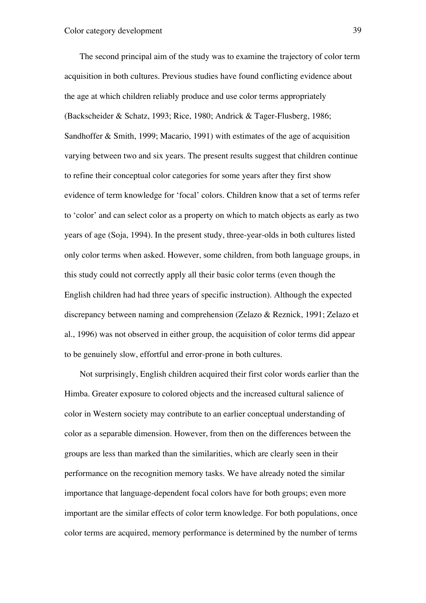The second principal aim of the study was to examine the trajectory of color term acquisition in both cultures. Previous studies have found conflicting evidence about the age at which children reliably produce and use color terms appropriately (Backscheider & Schatz, 1993; Rice, 1980; Andrick & Tager-Flusberg, 1986; Sandhoffer & Smith, 1999; Macario, 1991) with estimates of the age of acquisition varying between two and six years. The present results suggest that children continue to refine their conceptual color categories for some years after they first show evidence of term knowledge for 'focal' colors. Children know that a set of terms refer to 'color' and can select color as a property on which to match objects as early as two years of age (Soja, 1994). In the present study, three-year-olds in both cultures listed only color terms when asked. However, some children, from both language groups, in this study could not correctly apply all their basic color terms (even though the English children had had three years of specific instruction). Although the expected discrepancy between naming and comprehension (Zelazo & Reznick, 1991; Zelazo et al., 1996) was not observed in either group, the acquisition of color terms did appear to be genuinely slow, effortful and error-prone in both cultures.

Not surprisingly, English children acquired their first color words earlier than the Himba. Greater exposure to colored objects and the increased cultural salience of color in Western society may contribute to an earlier conceptual understanding of color as a separable dimension. However, from then on the differences between the groups are less than marked than the similarities, which are clearly seen in their performance on the recognition memory tasks. We have already noted the similar importance that language-dependent focal colors have for both groups; even more important are the similar effects of color term knowledge. For both populations, once color terms are acquired, memory performance is determined by the number of terms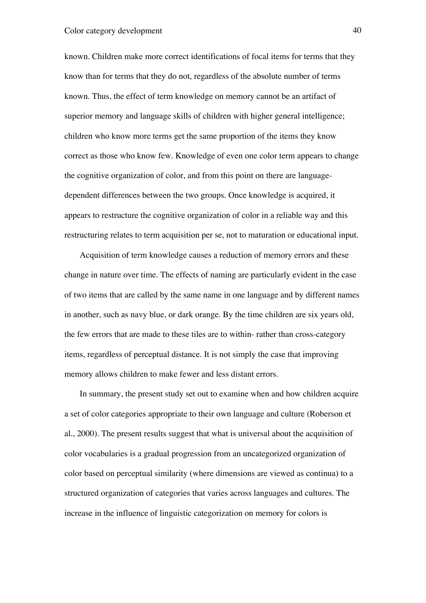known. Children make more correct identifications of focal items for terms that they know than for terms that they do not, regardless of the absolute number of terms known. Thus, the effect of term knowledge on memory cannot be an artifact of superior memory and language skills of children with higher general intelligence; children who know more terms get the same proportion of the items they know correct as those who know few. Knowledge of even one color term appears to change the cognitive organization of color, and from this point on there are languagedependent differences between the two groups. Once knowledge is acquired, it appears to restructure the cognitive organization of color in a reliable way and this restructuring relates to term acquisition per se, not to maturation or educational input.

Acquisition of term knowledge causes a reduction of memory errors and these change in nature over time. The effects of naming are particularly evident in the case of two items that are called by the same name in one language and by different names in another, such as navy blue, or dark orange. By the time children are six years old, the few errors that are made to these tiles are to within- rather than cross-category items, regardless of perceptual distance. It is not simply the case that improving memory allows children to make fewer and less distant errors.

In summary, the present study set out to examine when and how children acquire a set of color categories appropriate to their own language and culture (Roberson et al., 2000). The present results suggest that what is universal about the acquisition of color vocabularies is a gradual progression from an uncategorized organization of color based on perceptual similarity (where dimensions are viewed as continua) to a structured organization of categories that varies across languages and cultures. The increase in the influence of linguistic categorization on memory for colors is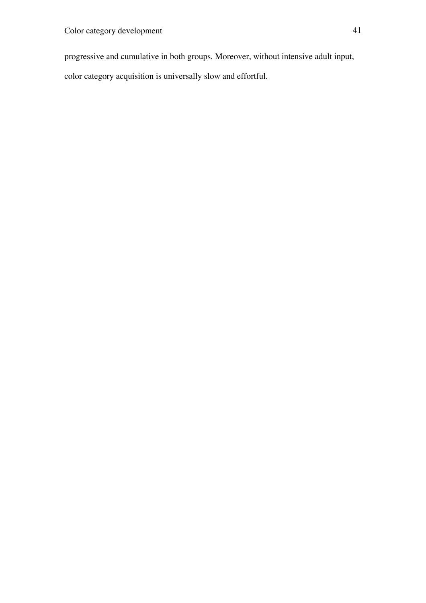progressive and cumulative in both groups. Moreover, without intensive adult input,

color category acquisition is universally slow and effortful.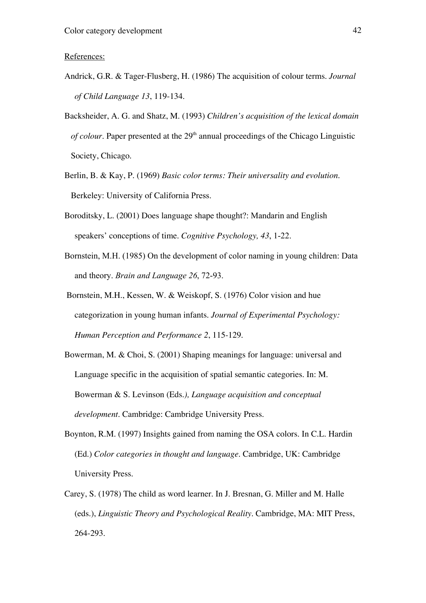#### References:

- Andrick, G.R. & Tager-Flusberg, H. (1986) The acquisition of colour terms. *Journal of Child Language 13*, 119-134.
- Backsheider, A. G. and Shatz, M. (1993) *Children's acquisition of the lexical domain of colour*. Paper presented at the  $29<sup>th</sup>$  annual proceedings of the Chicago Linguistic Society, Chicago.
- Berlin, B. & Kay, P. (1969) *Basic color terms: Their universality and evolution*. Berkeley: University of California Press.
- Boroditsky, L. (2001) Does language shape thought?: Mandarin and English speakers' conceptions of time. *Cognitive Psychology, 43*, 1-22.
- Bornstein, M.H. (1985) On the development of color naming in young children: Data and theory. *Brain and Language 26*, 72-93.
- Bornstein, M.H., Kessen, W. & Weiskopf, S. (1976) Color vision and hue categorization in young human infants. *Journal of Experimental Psychology: Human Perception and Performance 2*, 115-129.
- Bowerman, M. & Choi, S. (2001) Shaping meanings for language: universal and Language specific in the acquisition of spatial semantic categories. In: M. Bowerman & S. Levinson (Eds*.), Language acquisition and conceptual development*. Cambridge: Cambridge University Press.
- Boynton, R.M. (1997) Insights gained from naming the OSA colors. In C.L. Hardin (Ed.) *Color categories in thought and language*. Cambridge, UK: Cambridge University Press.
- Carey, S. (1978) The child as word learner. In J. Bresnan, G. Miller and M. Halle (eds.), *Linguistic Theory and Psychological Reality.* Cambridge, MA: MIT Press, 264-293.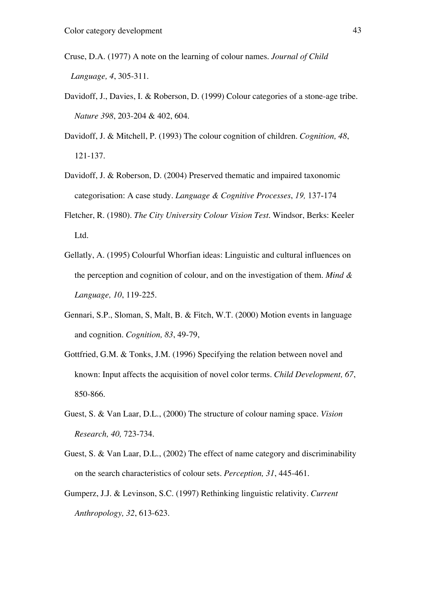- Cruse, D.A. (1977) A note on the learning of colour names. *Journal of Child Language, 4*, 305-311.
- Davidoff, J., Davies, I. & Roberson, D. (1999) Colour categories of a stone-age tribe. *Nature 398*, 203-204 & 402, 604.
- Davidoff, J. & Mitchell, P. (1993) The colour cognition of children. *Cognition, 48*, 121-137.
- Davidoff, J. & Roberson, D. (2004) Preserved thematic and impaired taxonomic categorisation: A case study. *Language & Cognitive Processes*, *19,* 137-174
- Fletcher, R. (1980). *The City University Colour Vision Test*. Windsor, Berks: Keeler Ltd.
- Gellatly, A. (1995) Colourful Whorfian ideas: Linguistic and cultural influences on the perception and cognition of colour, and on the investigation of them. *Mind & Language, 10*, 119-225.
- Gennari, S.P., Sloman, S, Malt, B. & Fitch, W.T. (2000) Motion events in language and cognition. *Cognition, 83*, 49-79,
- Gottfried, G.M. & Tonks, J.M. (1996) Specifying the relation between novel and known: Input affects the acquisition of novel color terms. *Child Development, 67*, 850-866.
- Guest, S. & Van Laar, D.L., (2000) The structure of colour naming space. *Vision Research, 40,* 723-734.
- Guest, S. & Van Laar, D.L., (2002) The effect of name category and discriminability on the search characteristics of colour sets. *Perception, 31*, 445-461.
- Gumperz, J.J. & Levinson, S.C. (1997) Rethinking linguistic relativity. *Current Anthropology, 32*, 613-623.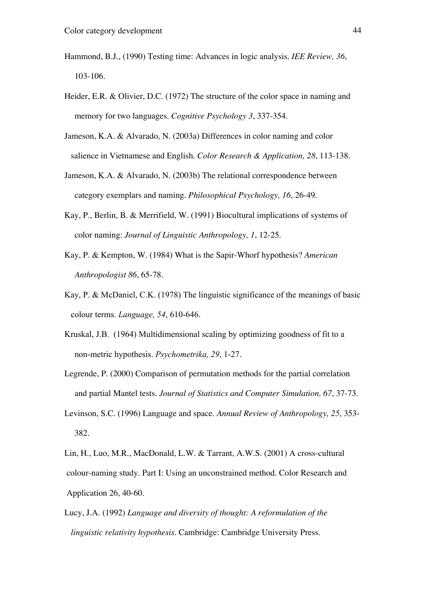- Hammond, B.J., (1990) Testing time: Advances in logic analysis. *IEE Review, 36*, 103-106.
- Heider, E.R. & Olivier, D.C. (1972) The structure of the color space in naming and memory for two languages. *Cognitive Psychology 3*, 337-354.
- Jameson, K.A. & Alvarado, N. (2003a) Differences in color naming and color salience in Vietnamese and English. *Color Research & Application, 28*, 113-138.
- Jameson, K.A. & Alvarado, N. (2003b) The relational correspondence between category exemplars and naming. *Philosophical Psychology, 16*, 26-49.
- Kay, P., Berlin, B. & Merrifield, W. (1991) Biocultural implications of systems of color naming: *Journal of Linguistic Anthropology, 1*, 12-25.
- Kay, P. & Kempton, W. (1984) What is the Sapir-Whorf hypothesis? *American Anthropologist 86*, 65-78.
- Kay, P. & McDaniel, C.K. (1978) The linguistic significance of the meanings of basic colour terms. *Language, 54*, 610-646.
- Kruskal, J.B. (1964) Multidimensional scaling by optimizing goodness of fit to a non-metric hypothesis. *Psychometrika, 29*, 1-27.
- Legrende, P. (2000) Comparison of permutation methods for the partial correlation and partial Mantel tests. *Journal of Statistics and Computer Simulation, 67*, 37-73.
- Levinson, S.C. (1996) Language and space. *Annual Review of Anthropology, 25*, 353- 382.
- Lin, H., Luo, M.R., MacDonald, L.W. & Tarrant, A.W.S. (2001) A cross-cultural colour-naming study. Part I: Using an unconstrained method. Color Research and Application 26, 40-60.
- Lucy, J.A. (1992) *Language and diversity of thought: A reformulation of the linguistic relativity hypothesis*. Cambridge: Cambridge University Press.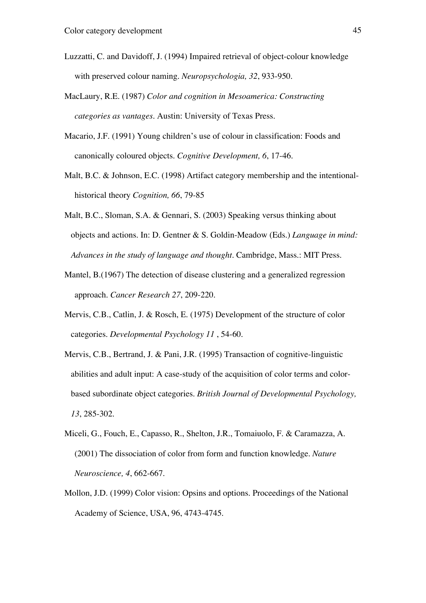- Luzzatti, C. and Davidoff, J. (1994) Impaired retrieval of object-colour knowledge with preserved colour naming. *Neuropsychologia, 32*, 933-950.
- MacLaury, R.E. (1987) *Color and cognition in Mesoamerica: Constructing categories as vantages*. Austin: University of Texas Press.
- Macario, J.F. (1991) Young children's use of colour in classification: Foods and canonically coloured objects. *Cognitive Development, 6*, 17-46.
- Malt, B.C. & Johnson, E.C. (1998) Artifact category membership and the intentionalhistorical theory *Cognition, 66*, 79-85
- Malt, B.C., Sloman, S.A. & Gennari, S. (2003) Speaking versus thinking about objects and actions. In: D. Gentner & S. Goldin-Meadow (Eds.) *Language in mind: Advances in the study of language and thought.* Cambridge, Mass.: MIT Press.
- Mantel, B.(1967) The detection of disease clustering and a generalized regression approach. *Cancer Research 27*, 209-220.
- Mervis, C.B., Catlin, J. & Rosch, E. (1975) Development of the structure of color categories. *Developmental Psychology 11* , 54-60.
- Mervis, C.B., Bertrand, J. & Pani, J.R. (1995) Transaction of cognitive-linguistic abilities and adult input: A case-study of the acquisition of color terms and color based subordinate object categories. *British Journal of Developmental Psychology, 13*, 285-302.
- Miceli, G., Fouch, E., Capasso, R., Shelton, J.R., Tomaiuolo, F. & Caramazza, A. (2001) The dissociation of color from form and function knowledge. *Nature Neuroscience, 4*, 662-667.
- Mollon, J.D. (1999) Color vision: Opsins and options. Proceedings of the National Academy of Science, USA, 96, 4743-4745.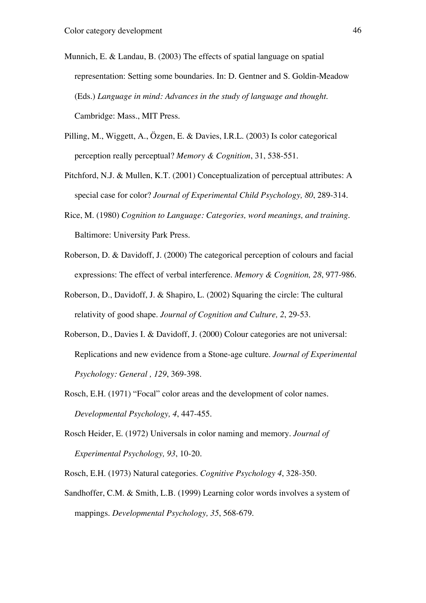- Munnich, E. & Landau, B. (2003) The effects of spatial language on spatial representation: Setting some boundaries. In: D. Gentner and S. Goldin-Meadow (Eds.) *Language in mind: Advances in the study of language and thought*. Cambridge: Mass., MIT Press.
- Pilling, M., Wiggett, A., Özgen, E. & Davies, I.R.L. (2003) Is color categorical perception really perceptual? *Memory & Cognition*, 31, 538-551.
- Pitchford, N.J. & Mullen, K.T. (2001) Conceptualization of perceptual attributes: A special case for color? *Journal of Experimental Child Psychology, 80*, 289-314.
- Rice, M. (1980) *Cognition to Language: Categories, word meanings, and training*. Baltimore: University Park Press.
- Roberson, D. & Davidoff, J. (2000) The categorical perception of colours and facial expressions: The effect of verbal interference. *Memory & Cognition, 28*, 977-986.
- Roberson, D., Davidoff, J. & Shapiro, L. (2002) Squaring the circle: The cultural relativity of good shape. *Journal of Cognition and Culture, 2*, 29-53.
- Roberson, D., Davies I. & Davidoff, J. (2000) Colour categories are not universal: Replications and new evidence from a Stone-age culture. *Journal of Experimental Psychology: General , 129*, 369-398.
- Rosch, E.H. (1971) "Focal" color areas and the development of color names. *Developmental Psychology, 4*, 447-455.
- Rosch Heider, E. (1972) Universals in color naming and memory. *Journal of Experimental Psychology, 93*, 10-20.
- Rosch, E.H. (1973) Natural categories. *Cognitive Psychology 4*, 328-350.
- Sandhoffer, C.M. & Smith, L.B. (1999) Learning color words involves a system of mappings. *Developmental Psychology, 35*, 568-679.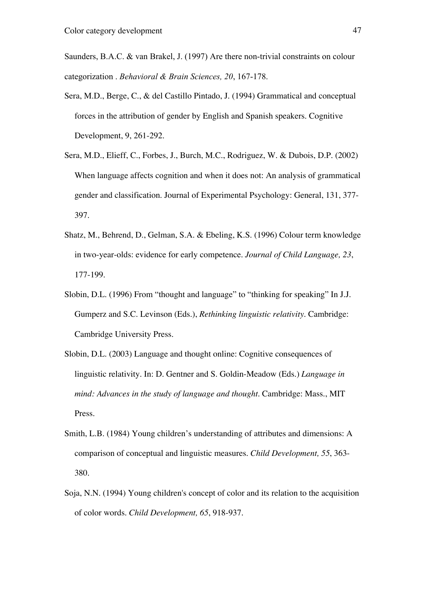Saunders, B.A.C. & van Brakel, J. (1997) Are there non-trivial constraints on colour categorization . *Behavioral & Brain Sciences, 20*, 167-178.

- Sera, M.D., Berge, C., & del Castillo Pintado, J. (1994) Grammatical and conceptual forces in the attribution of gender by English and Spanish speakers. Cognitive Development, 9, 261-292.
- Sera, M.D., Elieff, C., Forbes, J., Burch, M.C., Rodriguez, W. & Dubois, D.P. (2002) When language affects cognition and when it does not: An analysis of grammatical gender and classification. Journal of Experimental Psychology: General, 131, 377- 397.
- Shatz, M., Behrend, D., Gelman, S.A. & Ebeling, K.S. (1996) Colour term knowledge in two-year-olds: evidence for early competence. *Journal of Child Language, 23*, 177-199.
- Slobin, D.L. (1996) From "thought and language" to "thinking for speaking" In J.J. Gumperz and S.C. Levinson (Eds.), *Rethinking linguistic relativity*. Cambridge: Cambridge University Press.
- Slobin, D.L. (2003) Language and thought online: Cognitive consequences of linguistic relativity. In: D. Gentner and S. Goldin-Meadow (Eds.) *Language in mind: Advances in the study of language and thought*. Cambridge: Mass., MIT Press.
- Smith, L.B. (1984) Young children's understanding of attributes and dimensions: A comparison of conceptual and linguistic measures. *Child Development, 55*, 363- 380.
- Soja, N.N. (1994) Young children's concept of color and its relation to the acquisition of color words. *Child Development, 65*, 918-937.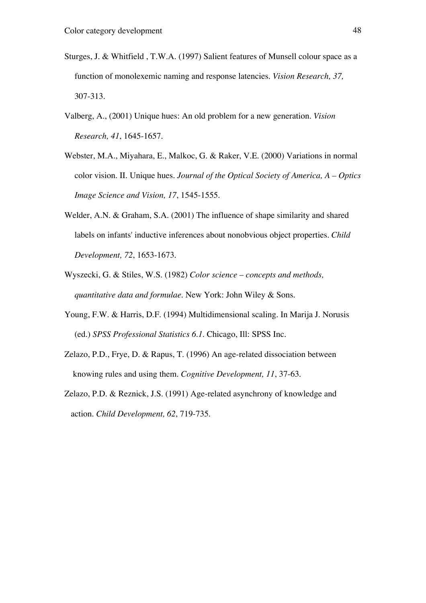- Sturges, J. & Whitfield , T.W.A. (1997) Salient features of Munsell colour space as a function of monolexemic naming and response latencies. *Vision Research, 37,* 307-313.
- Valberg, A., (2001) Unique hues: An old problem for a new generation. *Vision Research, 41*, 1645-1657.
- Webster, M.A., Miyahara, E., Malkoc, G. & Raker, V.E. (2000) Variations in normal color vision. II. Unique hues. *Journal of the Optical Society of America, A – Optics Image Science and Vision, 17*, 1545-1555.
- Welder, A.N. & Graham, S.A. (2001) The influence of shape similarity and shared labels on infants' inductive inferences about nonobvious object properties. *Child Development, 72*, 1653-1673.
- Wyszecki, G. & Stiles, W.S. (1982) *Color science concepts and methods, quantitative data and formulae*. New York: John Wiley & Sons.
- Young, F.W. & Harris, D.F. (1994) Multidimensional scaling. In Marija J. Norusis (ed.) *SPSS Professional Statistics 6.1*. Chicago, Ill: SPSS Inc.
- Zelazo, P.D., Frye, D. & Rapus, T. (1996) An age-related dissociation between knowing rules and using them. *Cognitive Development, 11*, 37-63.
- Zelazo, P.D. & Reznick, J.S. (1991) Age-related asynchrony of knowledge and action. *Child Development, 62*, 719-735.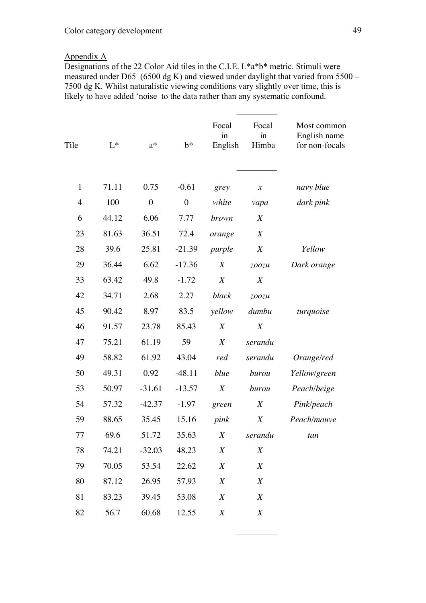## Appendix A

Designations of the 22 Color Aid tiles in the C.I.E. L\*a\*b\* metric. Stimuli were measured under D65 (6500 dg K) and viewed under daylight that varied from  $5500 -$ 7500 dg K. Whilst naturalistic viewing conditions vary slightly over time, this is likely to have added 'noise to the data rather than any systematic confound.

| Tile           | $L^*$ | $a^*$            | $b^*$            | Focal<br>in<br>English | Focal<br>in<br>Himba       | Most common<br>English name<br>for non-focals |
|----------------|-------|------------------|------------------|------------------------|----------------------------|-----------------------------------------------|
| $\mathbf{1}$   | 71.11 | 0.75             | $-0.61$          | grey                   | $\boldsymbol{\mathcal{X}}$ | navy blue                                     |
| $\overline{4}$ | 100   | $\boldsymbol{0}$ | $\boldsymbol{0}$ | white                  | vapa                       | dark pink                                     |
| 6              | 44.12 | 6.06             | 7.77             | brown                  | $\boldsymbol{X}$           |                                               |
| 23             | 81.63 | 36.51            | 72.4             | orange                 | $\boldsymbol{X}$           |                                               |
| 28             | 39.6  | 25.81            | $-21.39$         | purple                 | $\boldsymbol{X}$           | Yellow                                        |
| 29             | 36.44 | 6.62             | $-17.36$         | $\boldsymbol{X}$       | zoozu                      | Dark orange                                   |
| 33             | 63.42 | 49.8             | $-1.72$          | X                      | $\boldsymbol{X}$           |                                               |
| 42             | 34.71 | 2.68             | 2.27             | black                  | zoozu                      |                                               |
| 45             | 90.42 | 8.97             | 83.5             | yellow                 | dumbu                      | turquoise                                     |
| 46             | 91.57 | 23.78            | 85.43            | $\boldsymbol{X}$       | $\boldsymbol{X}$           |                                               |
| 47             | 75.21 | 61.19            | 59               | X                      | serandu                    |                                               |
| 49             | 58.82 | 61.92            | 43.04            | red                    | serandu                    | Orange/red                                    |
| 50             | 49.31 | 0.92             | $-48.11$         | blue                   | burou                      | Yellow/green                                  |
| 53             | 50.97 | $-31.61$         | $-13.57$         | $\boldsymbol{X}$       | burou                      | Peach/beige                                   |
| 54             | 57.32 | $-42.37$         | $-1.97$          | green                  | $\boldsymbol{X}$           | Pink/peach                                    |
| 59             | 88.65 | 35.45            | 15.16            | pink                   | $\boldsymbol{X}$           | Peach/mauve                                   |
| 77             | 69.6  | 51.72            | 35.63            | X                      | serandu                    | tan                                           |
| 78             | 74.21 | $-32.03$         | 48.23            | $\boldsymbol{X}$       | $\boldsymbol{X}$           |                                               |
| 79             | 70.05 | 53.54            | 22.62            | X                      | X                          |                                               |
| 80             | 87.12 | 26.95            | 57.93            | X                      | X                          |                                               |
| 81             | 83.23 | 39.45            | 53.08            | X                      | X                          |                                               |
| 82             | 56.7  | 60.68            | 12.55            | X                      | $\boldsymbol{X}$           |                                               |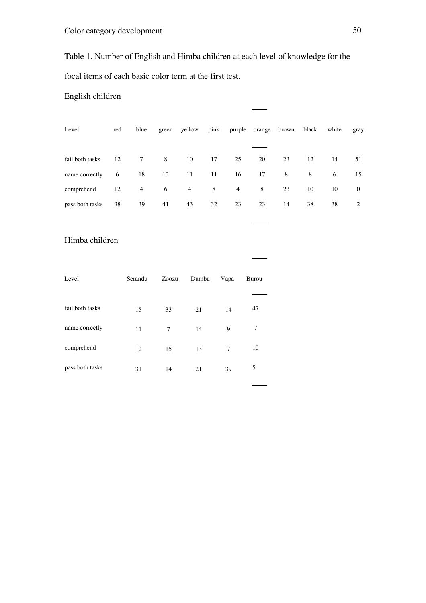# Table 1. Number of English and Himba children at each level of knowledge for the

# focal items of each basic color term at the first test.

# English children

| red                | blue           |    |                |    |                |    |    |    | white | gray                           |
|--------------------|----------------|----|----------------|----|----------------|----|----|----|-------|--------------------------------|
|                    |                |    |                |    |                |    |    |    |       |                                |
| fail both tasks 12 |                | 8  | 10             | 17 | 25             | 20 | 23 | 12 | 14    | 51                             |
| 6                  | 18             | 13 | -11            | 11 |                | 17 | 8  | 8  | 6     | 15                             |
| 12                 | $\overline{4}$ | 6  | $\overline{4}$ | 8  | $\overline{4}$ | 8  | 23 | 10 | 10    | $\bf{0}$                       |
| 38                 | 39             | 41 | 43             | 32 | 23             | 23 | 14 | 38 | 38    | 2                              |
|                    |                |    | 7              |    | green yellow   |    | 16 |    |       | pink purple orange brown black |

## Himba children

| Level           | Serandu | Zoozu | Dumbu | Vapa | Burou |
|-----------------|---------|-------|-------|------|-------|
|                 |         |       |       |      |       |
| fail both tasks | 15      | 33    | 21    | 14   | 47    |
| name correctly  | 11      | 7     | 14    | 9    | 7     |
| comprehend      | 12      | 15    | 13    | 7    | 10    |
| pass both tasks | 31      | 14    | 21    | 39   | 5     |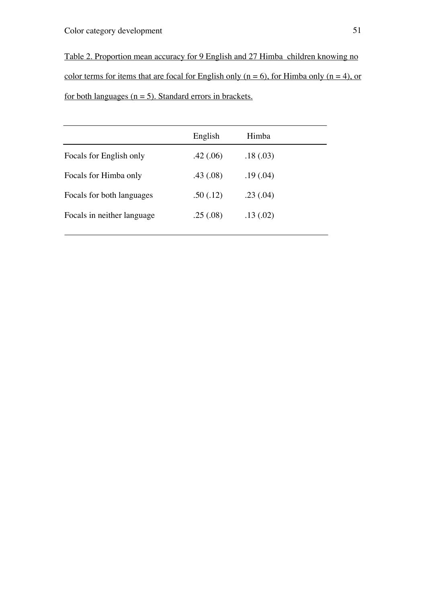Table 2. Proportion mean accuracy for 9 English and 27 Himba children knowing no color terms for items that are focal for English only ( $n = 6$ ), for Himba only ( $n = 4$ ), or for both languages ( $n = 5$ ). Standard errors in brackets.

|                            | English  | Himba     |
|----------------------------|----------|-----------|
| Focals for English only    | .42(.06) | .18(0.03) |
| Focals for Himba only      | .43(.08) | .19(0.04) |
| Focals for both languages  | .50(.12) | .23(.04)  |
| Focals in neither language | .25(.08) | .13(02)   |
|                            |          |           |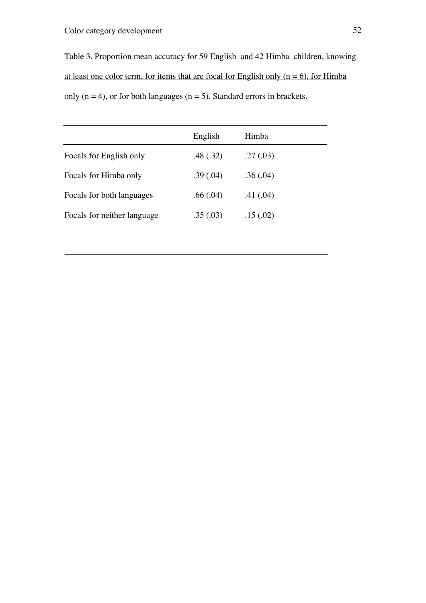# Color category development 52

Table 3. Proportion mean accuracy for 59 English and 42 Himba children, knowing at least one color term, for items that are focal for English only  $(n = 6)$ , for Himba only  $(n = 4)$ , or for both languages  $(n = 5)$ . Standard errors in brackets.

|                             | English  | Himba     |
|-----------------------------|----------|-----------|
| Focals for English only     | .48(.32) | .27(0.03) |
| Focals for Himba only       | .39(.04) | .36(.04)  |
| Focals for both languages   | .66(.04) | .41(.04)  |
| Focals for neither language | .35(.03) | .15(.02)  |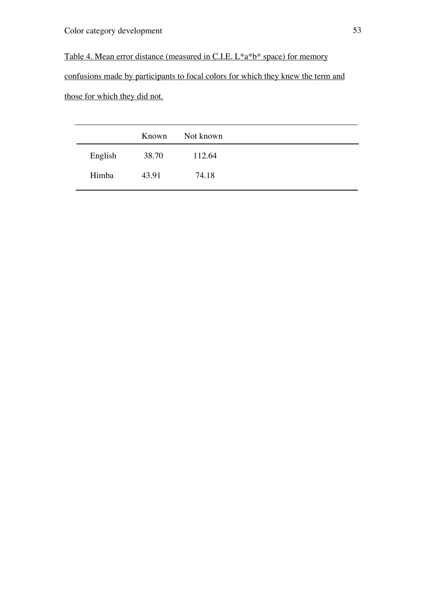Table 4. Mean error distance (measured in C.I.E. L\*a\*b\* space) for memory

confusions made by participants to focal colors for which they knew the term and those for which they did not.

|         |       | Known Not known |
|---------|-------|-----------------|
| English | 38.70 | 112.64          |
| Himba   | 43.91 | 74.18           |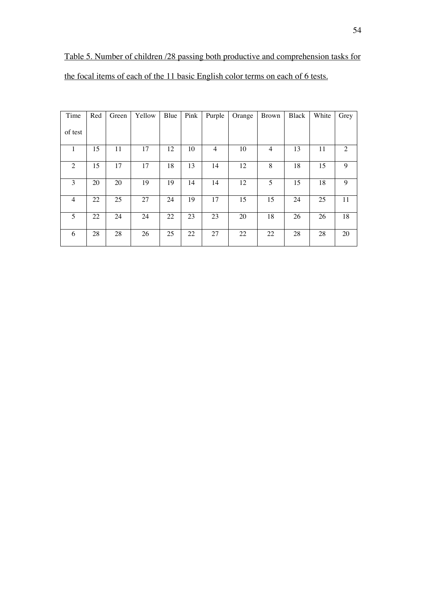Table 5. Number of children /28 passing both productive and comprehension tasks for the focal items of each of the 11 basic English color terms on each of 6 tests.

| Time           | Red | Green | Yellow | Blue | Pink | Purple         | Orange | <b>Brown</b> | Black | White | Grey |
|----------------|-----|-------|--------|------|------|----------------|--------|--------------|-------|-------|------|
| of test        |     |       |        |      |      |                |        |              |       |       |      |
| 1              | 15  | 11    | 17     | 12   | 10   | $\overline{4}$ | 10     | 4            | 13    | 11    | 2    |
| 2              | 15  | 17    | 17     | 18   | 13   | 14             | 12     | 8            | 18    | 15    | 9    |
| 3              | 20  | 20    | 19     | 19   | 14   | 14             | 12     | 5            | 15    | 18    | 9    |
| $\overline{4}$ | 22  | 25    | 27     | 24   | 19   | 17             | 15     | 15           | 24    | 25    | 11   |
| 5              | 22  | 24    | 24     | 22   | 23   | 23             | 20     | 18           | 26    | 26    | 18   |
| 6              | 28  | 28    | 26     | 25   | 22   | 27             | 22     | 22           | 28    | 28    | 20   |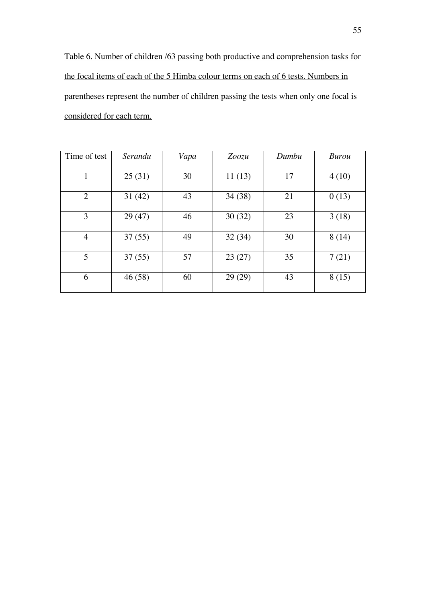Table 6. Number of children /63 passing both productive and comprehension tasks for the focal items of each of the 5 Himba colour terms on each of 6 tests. Numbers in parentheses represent the number of children passing the tests when only one focal is considered for each term.

| Time of test   | Serandu | Vapa | Zoozu  | Dumbu | <b>Burou</b> |
|----------------|---------|------|--------|-------|--------------|
| $\mathbf{1}$   | 25(31)  | 30   | 11(13) | 17    | 4(10)        |
| $\overline{2}$ | 31(42)  | 43   | 34(38) | 21    | 0(13)        |
| 3              | 29(47)  | 46   | 30(32) | 23    | 3(18)        |
| $\overline{4}$ | 37(55)  | 49   | 32(34) | 30    | 8(14)        |
| 5              | 37(55)  | 57   | 23(27) | 35    | 7(21)        |
| 6              | 46 (58) | 60   | 29(29) | 43    | 8(15)        |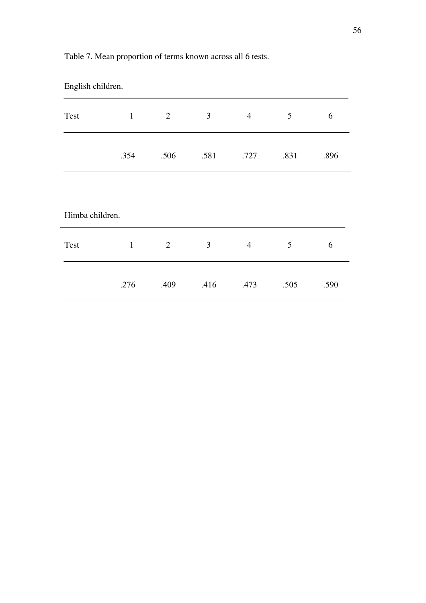| English children. |              |      |                |                |      |      |
|-------------------|--------------|------|----------------|----------------|------|------|
| Test              | $\mathbf{1}$ | 2    | $\mathfrak{Z}$ | $\overline{4}$ | 5    | 6    |
|                   | .354         | .506 | .581           | .727           | .831 | .896 |
| Himba children.   |              |      |                |                |      |      |
| Test              | $\mathbf{1}$ | 2    | 3              | $\overline{4}$ | 5    | 6    |
|                   | .276         | .409 | .416           | .473           | .505 | .590 |

# Table 7. Mean proportion of terms known across all 6 tests.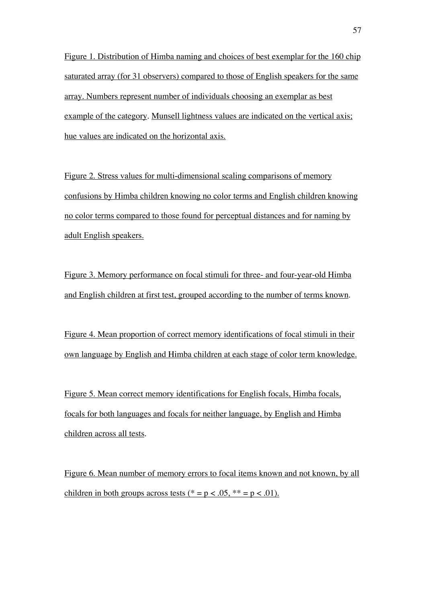Figure 1. Distribution of Himba naming and choices of best exemplar for the 160 chip saturated array (for 31 observers) compared to those of English speakers for the same array. Numbers represent number of individuals choosing an exemplar as best example of the category. Munsell lightness values are indicated on the vertical axis; hue values are indicated on the horizontal axis.

Figure 2. Stress values for multi-dimensional scaling comparisons of memory confusions by Himba children knowing no color terms and English children knowing no color terms compared to those found for perceptual distances and for naming by adult English speakers.

Figure 3. Memory performance on focal stimuli for three- and four-year-old Himba and English children at first test, grouped according to the number of terms known.

Figure 4. Mean proportion of correct memory identifications of focal stimuli in their own language by English and Himba children at each stage of color term knowledge.

Figure 5. Mean correct memory identifications for English focals, Himba focals, focals for both languages and focals for neither language, by English and Himba children across all tests.

Figure 6. Mean number of memory errors to focal items known and not known, by all children in both groups across tests (\* = p < .05, \*\* = p < .01).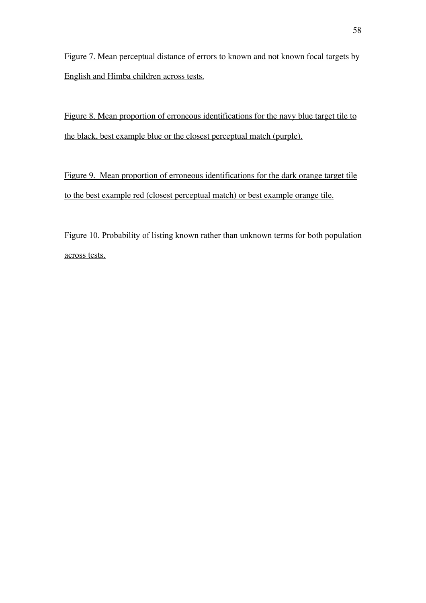Figure 7. Mean perceptual distance of errors to known and not known focal targets by English and Himba children across tests.

Figure 8. Mean proportion of erroneous identifications for the navy blue target tile to the black, best example blue or the closest perceptual match (purple).

Figure 9. Mean proportion of erroneous identifications for the dark orange target tile to the best example red (closest perceptual match) or best example orange tile.

Figure 10. Probability of listing known rather than unknown terms for both population across tests.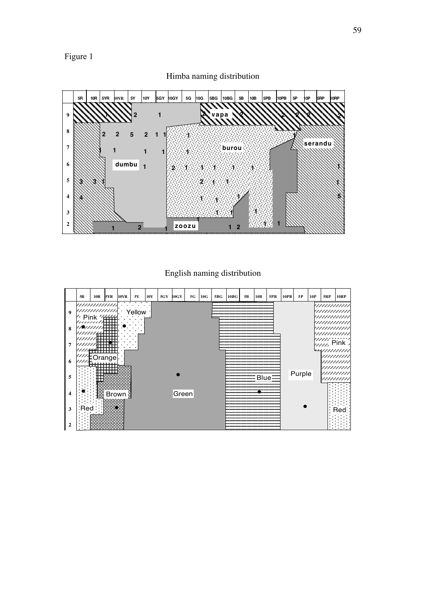# Figure 1



Himba naming distribution

# English naming distribution

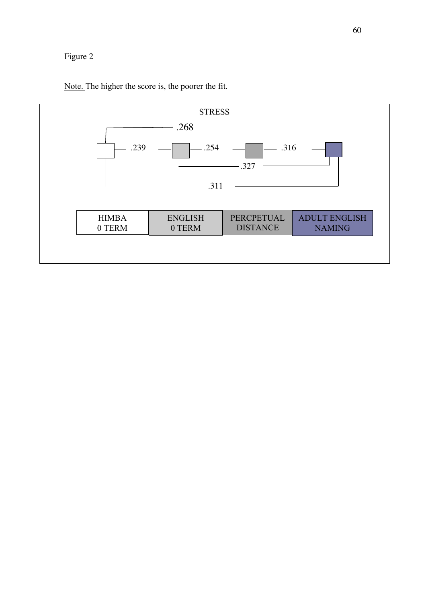# Figure 2



Note. The higher the score is, the poorer the fit.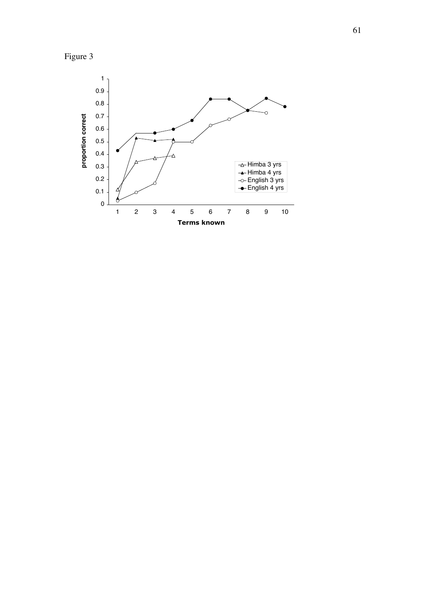

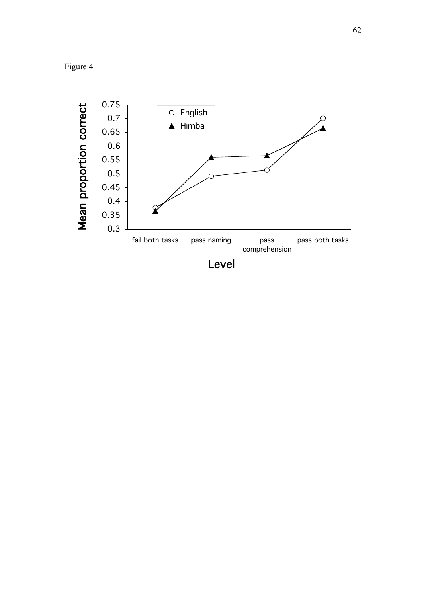Figure 4

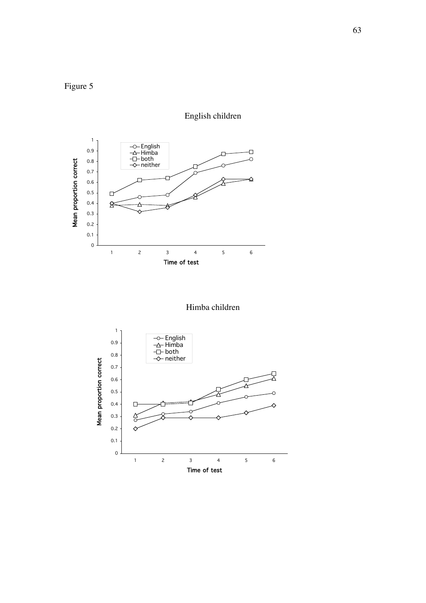





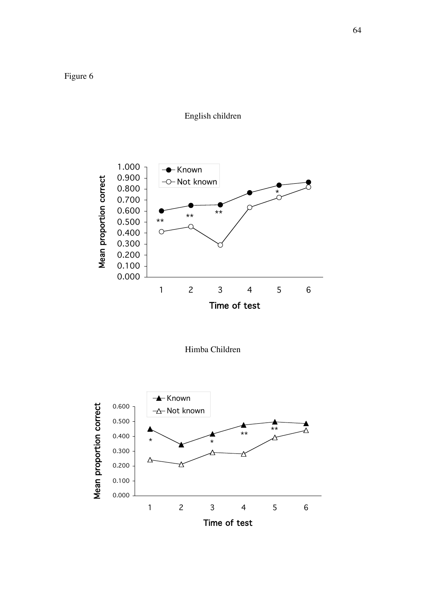



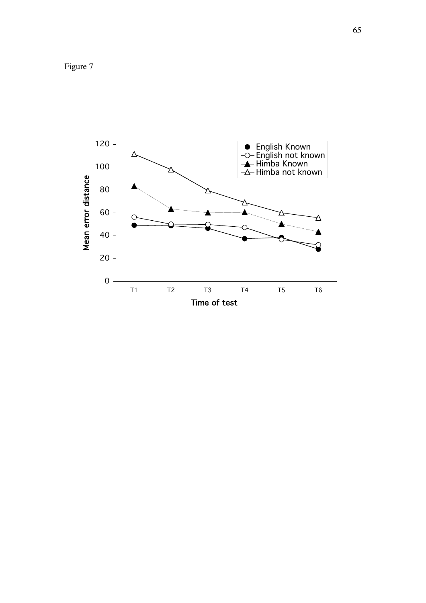Figure 7

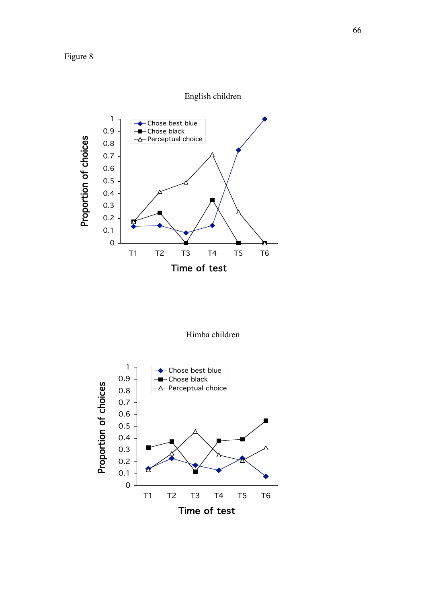

Himba children

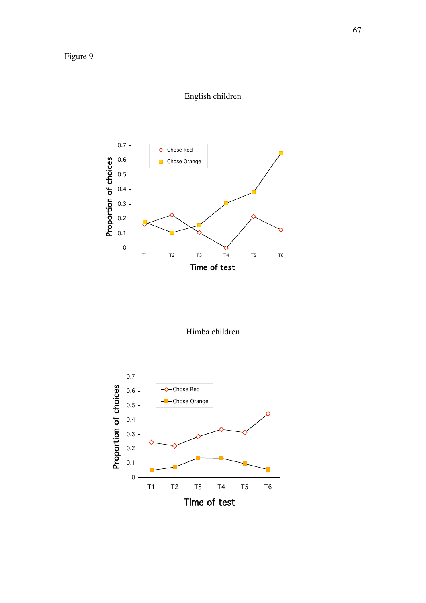

Himba children

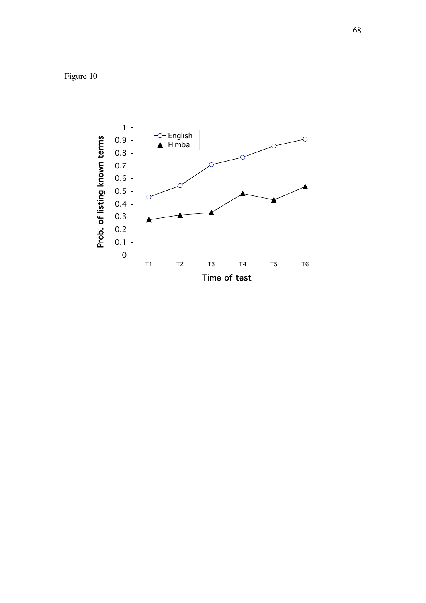Figure 10

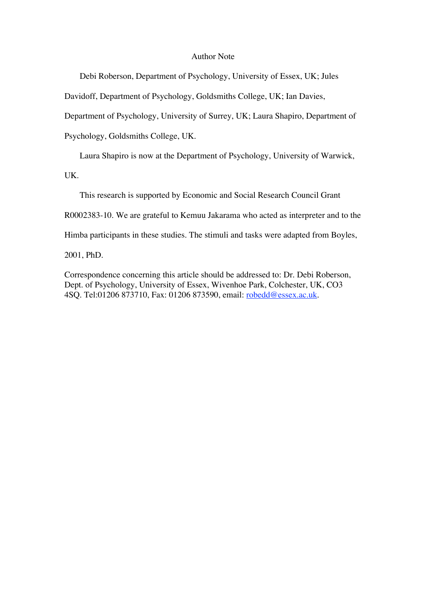#### Author Note

Debi Roberson, Department of Psychology, University of Essex, UK; Jules

Davidoff, Department of Psychology, Goldsmiths College, UK; Ian Davies,

Department of Psychology, University of Surrey, UK; Laura Shapiro, Department of

Psychology, Goldsmiths College, UK.

Laura Shapiro is now at the Department of Psychology, University of Warwick,

UK.

This research is supported by Economic and Social Research Council Grant

R0002383-10. We are grateful to Kemuu Jakarama who acted as interpreter and to the

Himba participants in these studies. The stimuli and tasks were adapted from Boyles,

2001, PhD.

Correspondence concerning this article should be addressed to: Dr. Debi Roberson, Dept. of Psychology, University of Essex, Wivenhoe Park, Colchester, UK, CO3 4SQ. Tel:01206 873710, Fax: 01206 873590, email: robedd@essex.ac.uk.